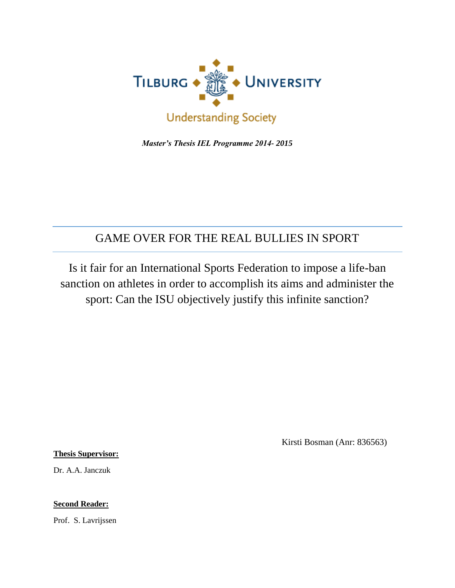

 *Master's Thesis IEL Programme 2014- 2015*

# GAME OVER FOR THE REAL BULLIES IN SPORT

Is it fair for an International Sports Federation to impose a life-ban sanction on athletes in order to accomplish its aims and administer the sport: Can the ISU objectively justify this infinite sanction?

Kirsti Bosman (Anr: 836563)

**Thesis Supervisor:**

Dr. A.A. Janczuk

**Second Reader:** 

Prof. S. Lavrijssen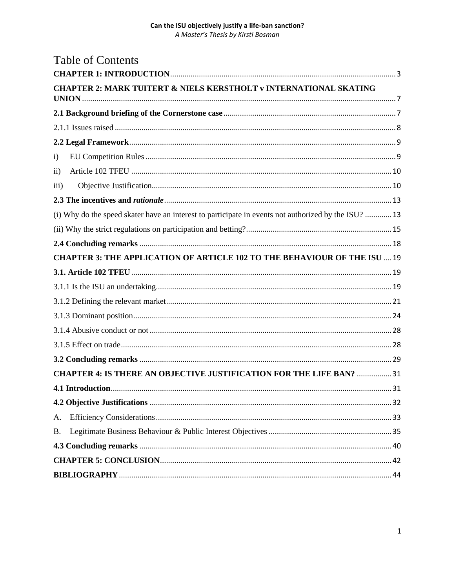|               | <b>Table of Contents</b>                                                                             |  |
|---------------|------------------------------------------------------------------------------------------------------|--|
|               |                                                                                                      |  |
|               | <b>CHAPTER 2: MARK TUITERT &amp; NIELS KERSTHOLT v INTERNATIONAL SKATING</b>                         |  |
|               |                                                                                                      |  |
|               |                                                                                                      |  |
|               |                                                                                                      |  |
| i)            |                                                                                                      |  |
| $\mathbf{ii}$ |                                                                                                      |  |
| iii)          |                                                                                                      |  |
|               |                                                                                                      |  |
|               | (i) Why do the speed skater have an interest to participate in events not authorized by the ISU?  13 |  |
|               |                                                                                                      |  |
|               |                                                                                                      |  |
|               | <b>CHAPTER 3: THE APPLICATION OF ARTICLE 102 TO THE BEHAVIOUR OF THE ISU  19</b>                     |  |
|               |                                                                                                      |  |
|               |                                                                                                      |  |
|               |                                                                                                      |  |
|               |                                                                                                      |  |
|               |                                                                                                      |  |
|               |                                                                                                      |  |
|               |                                                                                                      |  |
|               | <b>CHAPTER 4: IS THERE AN OBJECTIVE JUSTIFICATION FOR THE LIFE BAN?  31</b>                          |  |
|               |                                                                                                      |  |
|               |                                                                                                      |  |
| А.            |                                                                                                      |  |
| <b>B.</b>     |                                                                                                      |  |
|               |                                                                                                      |  |
|               |                                                                                                      |  |
|               |                                                                                                      |  |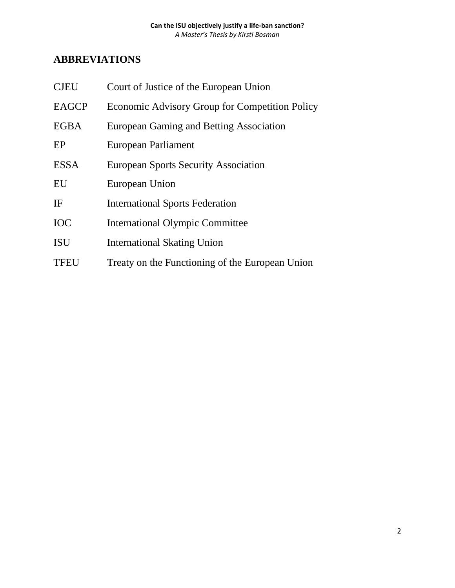# **ABBREVIATIONS**

| <b>CJEU</b>  | Court of Justice of the European Union          |
|--------------|-------------------------------------------------|
| <b>EAGCP</b> | Economic Advisory Group for Competition Policy  |
| <b>EGBA</b>  | European Gaming and Betting Association         |
| EP           | European Parliament                             |
| <b>ESSA</b>  | <b>European Sports Security Association</b>     |
| EU           | European Union                                  |
| IF           | <b>International Sports Federation</b>          |
| <b>IOC</b>   | <b>International Olympic Committee</b>          |
| <b>ISU</b>   | <b>International Skating Union</b>              |
| <b>TFEU</b>  | Treaty on the Functioning of the European Union |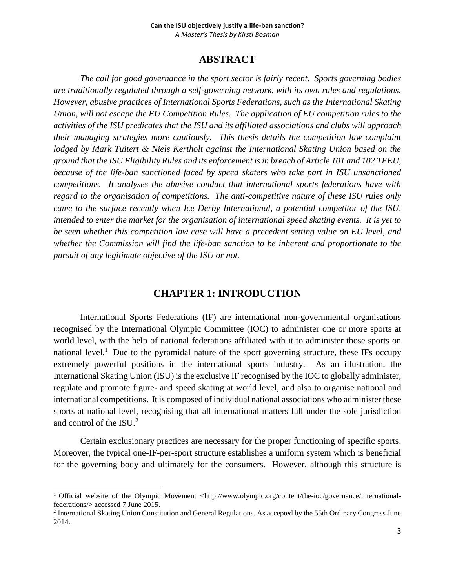### **ABSTRACT**

*The call for good governance in the sport sector is fairly recent. Sports governing bodies are traditionally regulated through a self-governing network, with its own rules and regulations. However, abusive practices of International Sports Federations, such as the International Skating Union, will not escape the EU Competition Rules. The application of EU competition rules to the activities of the ISU predicates that the ISU and its affiliated associations and clubs will approach their managing strategies more cautiously. This thesis details the competition law complaint lodged by Mark Tuitert & Niels Kertholt against the International Skating Union based on the ground that the ISU Eligibility Rules and its enforcement is in breach of Article 101 and 102 TFEU, because of the life-ban sanctioned faced by speed skaters who take part in ISU unsanctioned competitions. It analyses the abusive conduct that international sports federations have with regard to the organisation of competitions. The anti-competitive nature of these ISU rules only came to the surface recently when Ice Derby International, a potential competitor of the ISU, intended to enter the market for the organisation of international speed skating events. It is yet to be seen whether this competition law case will have a precedent setting value on EU level, and whether the Commission will find the life-ban sanction to be inherent and proportionate to the pursuit of any legitimate objective of the ISU or not.* 

### **CHAPTER 1: INTRODUCTION**

<span id="page-3-0"></span>International Sports Federations (IF) are international non-governmental organisations recognised by the International Olympic Committee (IOC) to administer one or more sports at world level, with the help of national federations affiliated with it to administer those sports on national level.<sup>1</sup> Due to the pyramidal nature of the sport governing structure, these IFs occupy extremely powerful positions in the international sports industry. As an illustration, the International Skating Union (ISU) is the exclusive IF recognised by the IOC to globally administer, regulate and promote figure- and speed skating at world level, and also to organise national and international competitions. It is composed of individual national associations who administer these sports at national level, recognising that all international matters fall under the sole jurisdiction and control of the ISU. 2

Certain exclusionary practices are necessary for the proper functioning of specific sports. Moreover, the typical one-IF-per-sport structure establishes a uniform system which is beneficial for the governing body and ultimately for the consumers. However, although this structure is

<sup>&</sup>lt;sup>1</sup> Official website of the Olympic Movement [<http://www.olympic.org/content/the-ioc/governance/international](http://www.olympic.org/content/the-ioc/governance/international-federations/)[federations/>](http://www.olympic.org/content/the-ioc/governance/international-federations/) accessed 7 June 2015.

<sup>&</sup>lt;sup>2</sup> International Skating Union Constitution and General Regulations. As accepted by the 55th Ordinary Congress June 2014.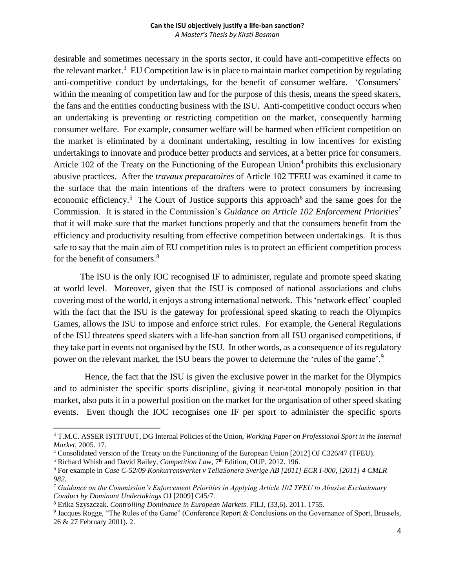desirable and sometimes necessary in the sports sector, it could have anti-competitive effects on the relevant market.<sup>3</sup> EU Competition law is in place to maintain market competition by regulating anti-competitive conduct by undertakings, for the benefit of consumer welfare. 'Consumers' within the meaning of competition law and for the purpose of this thesis, means the speed skaters, the fans and the entities conducting business with the ISU. Anti-competitive conduct occurs when an undertaking is preventing or restricting competition on the market, consequently harming consumer welfare. For example, consumer welfare will be harmed when efficient competition on the market is eliminated by a dominant undertaking, resulting in low incentives for existing undertakings to innovate and produce better products and services, at a better price for consumers. Article 102 of the Treaty on the Functioning of the European Union<sup>4</sup> prohibits this exclusionary abusive practices. After the *travaux preparatoires* of Article 102 TFEU was examined it came to the surface that the main intentions of the drafters were to protect consumers by increasing economic efficiency.<sup>5</sup> The Court of Justice supports this approach<sup>6</sup> and the same goes for the Commission. It is stated in the Commission's *Guidance on Article 102 Enforcement Priorities<sup>7</sup>* that it will make sure that the market functions properly and that the consumers benefit from the efficiency and productivity resulting from effective competition between undertakings. It is thus safe to say that the main aim of EU competition rules is to protect an efficient competition process for the benefit of consumers.<sup>8</sup>

The ISU is the only IOC recognised IF to administer, regulate and promote speed skating at world level. Moreover, given that the ISU is composed of national associations and clubs covering most of the world, it enjoys a strong international network. This 'network effect' coupled with the fact that the ISU is the gateway for professional speed skating to reach the Olympics Games, allows the ISU to impose and enforce strict rules. For example, the General Regulations of the ISU threatens speed skaters with a life-ban sanction from all ISU organised competitions, if they take part in events not organised by the ISU. In other words, as a consequence of its regulatory power on the relevant market, the ISU bears the power to determine the 'rules of the game'.<sup>9</sup>

 Hence, the fact that the ISU is given the exclusive power in the market for the Olympics and to administer the specific sports discipline, giving it near-total monopoly position in that market, also puts it in a powerful position on the market for the organisation of other speed skating events. Even though the IOC recognises one IF per sport to administer the specific sports

<sup>3</sup> T.M.C. ASSER ISTITUUT, DG Internal Policies of the Union, *Working Paper on Professional Sport in the Internal Market,* 2005. 17.

<sup>4</sup> Consolidated version of the Treaty on the Functioning of the European Union [2012] OJ C326/47 (TFEU).

<sup>&</sup>lt;sup>5</sup> Richard Whish and David Bailey, *Competition Law*, 7<sup>th</sup> Edition, OUP, 2012. 196.

<sup>6</sup> For example in *Case C-52/09 Konkurrensverket v TeliaSonera Sverige AB [2011] ECR I-000, [2011] 4 CMLR 982.*

<sup>7</sup> *Guidance on the Commission's Enforcement Priorities in Applying Article 102 TFEU to Abusive Exclusionary Conduct by Dominant Undertakings* OJ [2009] C45/7.

<sup>8</sup> Erika Szyszczak. *Controlling Dominance in European Markets*. FILJ, (33,6). 2011. 1755.

<sup>&</sup>lt;sup>9</sup> Jacques Rogge, "The Rules of the Game" (Conference Report & Conclusions on the Governance of Sport, Brussels, 26 & 27 February 2001). 2.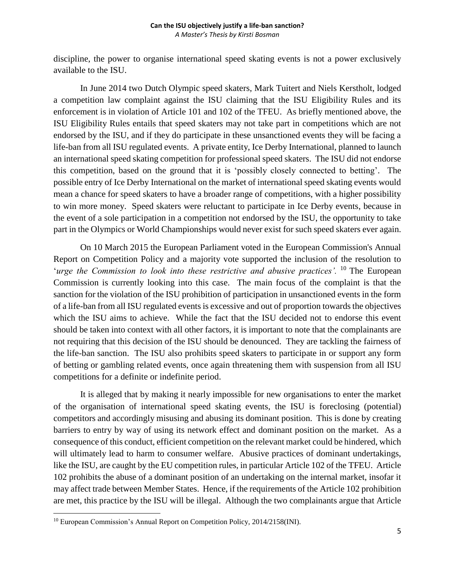discipline, the power to organise international speed skating events is not a power exclusively available to the ISU.

In June 2014 two Dutch Olympic speed skaters, Mark Tuitert and Niels Kerstholt, lodged a competition law complaint against the ISU claiming that the ISU Eligibility Rules and its enforcement is in violation of Article 101 and 102 of the TFEU. As briefly mentioned above, the ISU Eligibility Rules entails that speed skaters may not take part in competitions which are not endorsed by the ISU, and if they do participate in these unsanctioned events they will be facing a life-ban from all ISU regulated events. A private entity, Ice Derby International, planned to launch an international speed skating competition for professional speed skaters. The ISU did not endorse this competition, based on the ground that it is 'possibly closely connected to betting'. The possible entry of Ice Derby International on the market of international speed skating events would mean a chance for speed skaters to have a broader range of competitions, with a higher possibility to win more money. Speed skaters were reluctant to participate in Ice Derby events, because in the event of a sole participation in a competition not endorsed by the ISU, the opportunity to take part in the Olympics or World Championships would never exist for such speed skaters ever again.

On 10 March 2015 the European Parliament voted in the European Commission's Annual Report on Competition Policy and a majority vote supported the inclusion of the resolution to 'urge the Commission to look into these restrictive and abusive practices'. <sup>10</sup> The European Commission is currently looking into this case. The main focus of the complaint is that the sanction for the violation of the ISU prohibition of participation in unsanctioned events in the form of a life-ban from all ISU regulated events is excessive and out of proportion towards the objectives which the ISU aims to achieve. While the fact that the ISU decided not to endorse this event should be taken into context with all other factors, it is important to note that the complainants are not requiring that this decision of the ISU should be denounced. They are tackling the fairness of the life-ban sanction. The ISU also prohibits speed skaters to participate in or support any form of betting or gambling related events, once again threatening them with suspension from all ISU competitions for a definite or indefinite period.

It is alleged that by making it nearly impossible for new organisations to enter the market of the organisation of international speed skating events, the ISU is foreclosing (potential) competitors and accordingly misusing and abusing its dominant position. This is done by creating barriers to entry by way of using its network effect and dominant position on the market. As a consequence of this conduct, efficient competition on the relevant market could be hindered, which will ultimately lead to harm to consumer welfare. Abusive practices of dominant undertakings, like the ISU, are caught by the EU competition rules, in particular Article 102 of the TFEU. Article 102 prohibits the abuse of a dominant position of an undertaking on the internal market, insofar it may affect trade between Member States. Hence, if the requirements of the Article 102 prohibition are met, this practice by the ISU will be illegal. Although the two complainants argue that Article

<sup>&</sup>lt;sup>10</sup> European Commission's Annual Report on Competition Policy, 2014/2158(INI).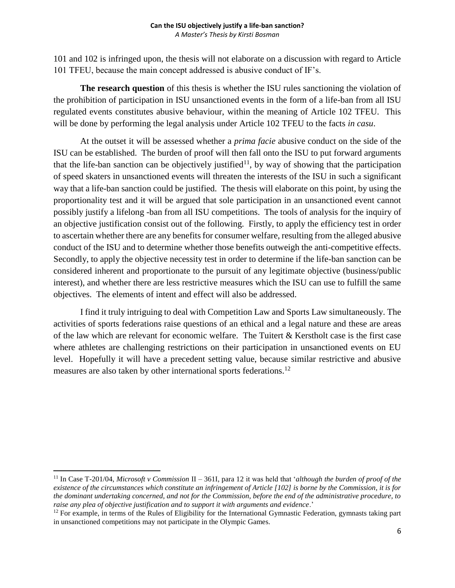101 and 102 is infringed upon, the thesis will not elaborate on a discussion with regard to Article 101 TFEU, because the main concept addressed is abusive conduct of IF's.

**The research question** of this thesis is whether the ISU rules sanctioning the violation of the prohibition of participation in ISU unsanctioned events in the form of a life-ban from all ISU regulated events constitutes abusive behaviour, within the meaning of Article 102 TFEU. This will be done by performing the legal analysis under Article 102 TFEU to the facts *in casu*.

At the outset it will be assessed whether a *prima facie* abusive conduct on the side of the ISU can be established. The burden of proof will then fall onto the ISU to put forward arguments that the life-ban sanction can be objectively justified<sup>11</sup>, by way of showing that the participation of speed skaters in unsanctioned events will threaten the interests of the ISU in such a significant way that a life-ban sanction could be justified. The thesis will elaborate on this point, by using the proportionality test and it will be argued that sole participation in an unsanctioned event cannot possibly justify a lifelong -ban from all ISU competitions. The tools of analysis for the inquiry of an objective justification consist out of the following. Firstly, to apply the efficiency test in order to ascertain whether there are any benefits for consumer welfare, resulting from the alleged abusive conduct of the ISU and to determine whether those benefits outweigh the anti-competitive effects. Secondly, to apply the objective necessity test in order to determine if the life-ban sanction can be considered inherent and proportionate to the pursuit of any legitimate objective (business/public interest), and whether there are less restrictive measures which the ISU can use to fulfill the same objectives. The elements of intent and effect will also be addressed.

I find it truly intriguing to deal with Competition Law and Sports Law simultaneously. The activities of sports federations raise questions of an ethical and a legal nature and these are areas of the law which are relevant for economic welfare. The Tuitert & Kerstholt case is the first case where athletes are challenging restrictions on their participation in unsanctioned events on EU level. Hopefully it will have a precedent setting value, because similar restrictive and abusive measures are also taken by other international sports federations.<sup>12</sup>

<sup>11</sup> In Case T-201/04, *Microsoft v Commission* II – 361I, para 12 it was held that '*although the burden of proof of the existence of the circumstances which constitute an infringement of Article [102] is borne by the Commission, it is for the dominant undertaking concerned, and not for the Commission, before the end of the administrative procedure, to raise any plea of objective justification and to support it with arguments and evidence*.'

 $12$  For example, in terms of the Rules of Eligibility for the International Gymnastic Federation, gymnasts taking part in unsanctioned competitions may not participate in the Olympic Games.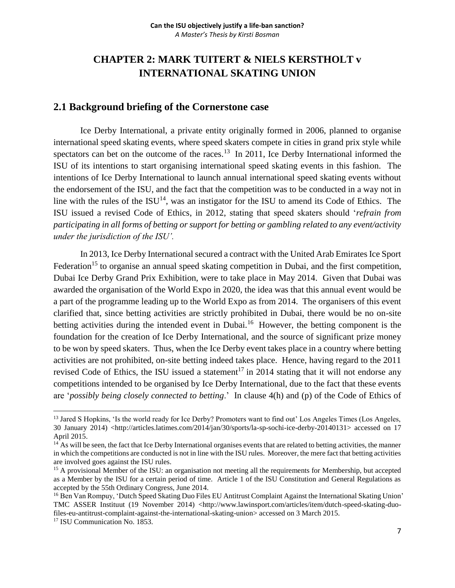# <span id="page-7-0"></span>**CHAPTER 2: MARK TUITERT & NIELS KERSTHOLT v INTERNATIONAL SKATING UNION**

## <span id="page-7-1"></span>**2.1 Background briefing of the Cornerstone case**

Ice Derby International, a private entity originally formed in 2006, planned to organise international speed skating events, where speed skaters compete in cities in grand prix style while spectators can bet on the outcome of the races.<sup>13</sup> In 2011, Ice Derby International informed the ISU of its intentions to start organising international speed skating events in this fashion. The intentions of Ice Derby International to launch annual international speed skating events without the endorsement of the ISU, and the fact that the competition was to be conducted in a way not in line with the rules of the  $ISU<sup>14</sup>$ , was an instigator for the ISU to amend its Code of Ethics. The ISU issued a revised Code of Ethics, in 2012, stating that speed skaters should '*refrain from participating in all forms of betting or support for betting or gambling related to any event/activity under the jurisdiction of the ISU'.* 

In 2013, Ice Derby International secured a contract with the United Arab Emirates Ice Sport Federation<sup>15</sup> to organise an annual speed skating competition in Dubai, and the first competition, Dubai Ice Derby Grand Prix Exhibition, were to take place in May 2014. Given that Dubai was awarded the organisation of the World Expo in 2020, the idea was that this annual event would be a part of the programme leading up to the World Expo as from 2014. The organisers of this event clarified that, since betting activities are strictly prohibited in Dubai, there would be no on-site betting activities during the intended event in Dubai.<sup>16</sup> However, the betting component is the foundation for the creation of Ice Derby International, and the source of significant prize money to be won by speed skaters. Thus, when the Ice Derby event takes place in a country where betting activities are not prohibited, on-site betting indeed takes place. Hence, having regard to the 2011 revised Code of Ethics, the ISU issued a statement<sup>17</sup> in 2014 stating that it will not endorse any competitions intended to be organised by Ice Derby International, due to the fact that these events are '*possibly being closely connected to betting*.' In clause 4(h) and (p) of the Code of Ethics of

<sup>&</sup>lt;sup>13</sup> Jared S Hopkins, 'Is the world ready for Ice Derby? Promoters want to find out' Los Angeles Times (Los Angeles, 30 January 2014) [<http://articles.latimes.com/2014/jan/30/sports/la-sp-sochi-ice-derby-20140131>](http://articles.latimes.com/2014/jan/30/sports/la-sp-sochi-ice-derby-20140131) accessed on 17 April 2015.

<sup>&</sup>lt;sup>14</sup> As will be seen, the fact that Ice Derby International organises events that are related to betting activities, the manner in which the competitions are conducted is not in line with the ISU rules. Moreover, the mere fact that betting activities are involved goes against the ISU rules.

<sup>&</sup>lt;sup>15</sup> A provisional Member of the ISU: an organisation not meeting all the requirements for Membership, but accepted as a Member by the ISU for a certain period of time. Article 1 of the ISU Constitution and General Regulations as accepted by the 55th Ordinary Congress, June 2014.

<sup>&</sup>lt;sup>16</sup> Ben Van Rompuy, 'Dutch Speed Skating Duo Files EU Antitrust Complaint Against the International Skating Union' TMC ASSER Instituut (19 November 2014) <http://www.lawinsport.com/articles/item/dutch-speed-skating-duofiles-eu-antitrust-complaint-against-the-international-skating-union> accessed on 3 March 2015.

<sup>&</sup>lt;sup>17</sup> ISU Communication No. 1853.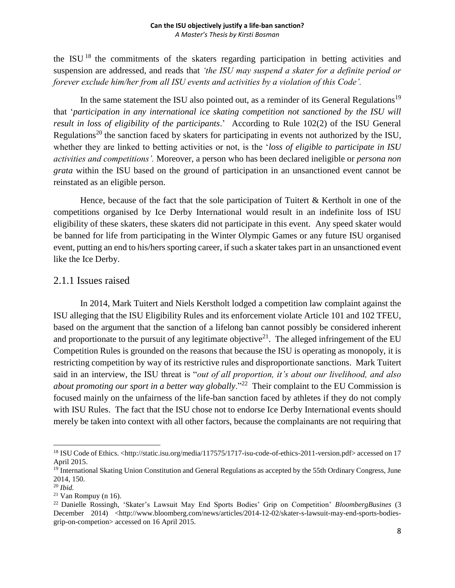the ISU  $18$  the commitments of the skaters regarding participation in betting activities and suspension are addressed, and reads that *'the ISU may suspend a skater for a definite period or forever exclude him/her from all ISU events and activities by a violation of this Code'.* 

In the same statement the ISU also pointed out, as a reminder of its General Regulations<sup>19</sup> that '*participation in any international ice skating competition not sanctioned by the ISU will result in loss of eligibility of the participants*.' According to Rule 102(2) of the ISU General Regulations<sup>20</sup> the sanction faced by skaters for participating in events not authorized by the ISU, whether they are linked to betting activities or not, is the '*loss of eligible to participate in ISU activities and competitions'.* Moreover, a person who has been declared ineligible or *persona non grata* within the ISU based on the ground of participation in an unsanctioned event cannot be reinstated as an eligible person.

Hence, because of the fact that the sole participation of Tuitert & Kertholt in one of the competitions organised by Ice Derby International would result in an indefinite loss of ISU eligibility of these skaters, these skaters did not participate in this event. Any speed skater would be banned for life from participating in the Winter Olympic Games or any future ISU organised event, putting an end to his/hers sporting career, if such a skater takes part in an unsanctioned event like the Ice Derby.

## <span id="page-8-0"></span>2.1.1 Issues raised

In 2014, Mark Tuitert and Niels Kerstholt lodged a competition law complaint against the ISU alleging that the ISU Eligibility Rules and its enforcement violate Article 101 and 102 TFEU, based on the argument that the sanction of a lifelong ban cannot possibly be considered inherent and proportionate to the pursuit of any legitimate objective<sup>21</sup>. The alleged infringement of the EU Competition Rules is grounded on the reasons that because the ISU is operating as monopoly, it is restricting competition by way of its restrictive rules and disproportionate sanctions. Mark Tuitert said in an interview, the ISU threat is "*out of all proportion, it's about our livelihood, and also*  about promoting our sport in a better way globally.<sup>"22</sup> Their complaint to the EU Commission is focused mainly on the unfairness of the life-ban sanction faced by athletes if they do not comply with ISU Rules. The fact that the ISU chose not to endorse Ice Derby International events should merely be taken into context with all other factors, because the complainants are not requiring that

l

<sup>&</sup>lt;sup>18</sup> ISU Code of Ethics. [<http://static.isu.org/media/117575/1717-isu-code-of-ethics-2011-version.pdf>](http://static.isu.org/media/117575/1717-isu-code-of-ethics-2011-version.pdf) accessed on 17 April 2015.

<sup>&</sup>lt;sup>19</sup> International Skating Union Constitution and General Regulations as accepted by the 55th Ordinary Congress, June 2014, 150.

<sup>20</sup> *Ibid.*

 $21$  Van Rompuy (n 16).

<sup>22</sup> Danielle Rossingh, 'Skater's Lawsuit May End Sports Bodies' Grip on Competition' *BloombergBusines* (3 December 2014) <http://www.bloomberg.com/news/articles/2014-12-02/skater-s-lawsuit-may-end-sports-bodiesgrip-on-competion> accessed on 16 April 2015.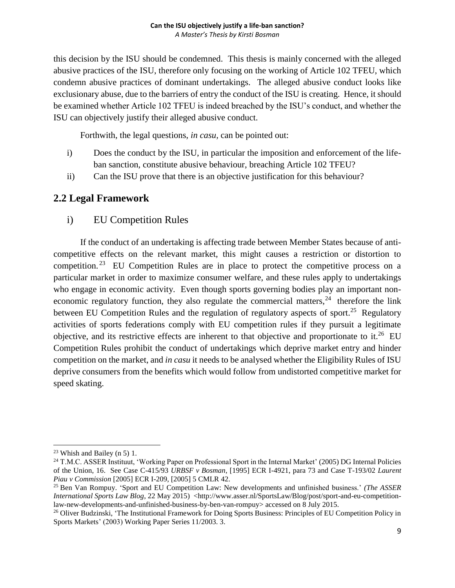this decision by the ISU should be condemned. This thesis is mainly concerned with the alleged abusive practices of the ISU, therefore only focusing on the working of Article 102 TFEU, which condemn abusive practices of dominant undertakings. The alleged abusive conduct looks like exclusionary abuse, due to the barriers of entry the conduct of the ISU is creating. Hence, it should be examined whether Article 102 TFEU is indeed breached by the ISU's conduct, and whether the ISU can objectively justify their alleged abusive conduct.

Forthwith, the legal questions, *in casu,* can be pointed out:

- i) Does the conduct by the ISU, in particular the imposition and enforcement of the lifeban sanction, constitute abusive behaviour, breaching Article 102 TFEU?
- ii) Can the ISU prove that there is an objective justification for this behaviour?

## <span id="page-9-1"></span><span id="page-9-0"></span>**2.2 Legal Framework**

i) EU Competition Rules

If the conduct of an undertaking is affecting trade between Member States because of anticompetitive effects on the relevant market, this might causes a restriction or distortion to competition.<sup>23</sup> EU Competition Rules are in place to protect the competitive process on a particular market in order to maximize consumer welfare, and these rules apply to undertakings who engage in economic activity. Even though sports governing bodies play an important noneconomic regulatory function, they also regulate the commercial matters,  $24$  therefore the link between EU Competition Rules and the regulation of regulatory aspects of sport.<sup>25</sup> Regulatory activities of sports federations comply with EU competition rules if they pursuit a legitimate objective, and its restrictive effects are inherent to that objective and proportionate to it.<sup>26</sup> EU Competition Rules prohibit the conduct of undertakings which deprive market entry and hinder competition on the market, and *in casu* it needs to be analysed whether the Eligibility Rules of ISU deprive consumers from the benefits which would follow from undistorted competitive market for speed skating.

l <sup>23</sup> Whish and Bailey (n 5) 1.

<sup>&</sup>lt;sup>24</sup> T.M.C. ASSER Instituut, 'Working Paper on Professional Sport in the Internal Market' (2005) DG Internal Policies of the Union, 16. See Case C-415/93 *URBSF v Bosman*, [1995] ECR I-4921, para 73 and Case T-193/02 *Laurent Piau v Commission* [2005] ECR I-209, [2005] 5 CMLR 42.

<sup>25</sup> Ben Van Rompuy. 'Sport and EU Competition Law: New developments and unfinished business.' *(The ASSER International Sports Law Blog, 22 May 2015)* <http://www.asser.nl/SportsLaw/Blog/post/sport-and-eu-competitionlaw-new-developments-and-unfinished-business-by-ben-van-rompuy> accessed on 8 July 2015.

<sup>&</sup>lt;sup>26</sup> Oliver Budzinski, 'The Institutional Framework for Doing Sports Business: Principles of EU Competition Policy in Sports Markets' (2003) Working Paper Series 11/2003. 3.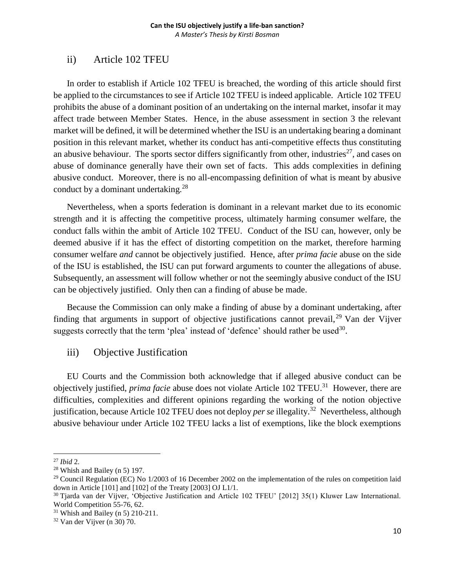## <span id="page-10-0"></span>ii) Article 102 TFEU

In order to establish if Article 102 TFEU is breached, the wording of this article should first be applied to the circumstances to see if Article 102 TFEU is indeed applicable. Article 102 TFEU prohibits the abuse of a dominant position of an undertaking on the internal market, insofar it may affect trade between Member States. Hence, in the abuse assessment in section 3 the relevant market will be defined, it will be determined whether the ISU is an undertaking bearing a dominant position in this relevant market, whether its conduct has anti-competitive effects thus constituting an abusive behaviour. The sports sector differs significantly from other, industries<sup>27</sup>, and cases on abuse of dominance generally have their own set of facts. This adds complexities in defining abusive conduct. Moreover, there is no all-encompassing definition of what is meant by abusive conduct by a dominant undertaking. $^{28}$ 

Nevertheless, when a sports federation is dominant in a relevant market due to its economic strength and it is affecting the competitive process, ultimately harming consumer welfare, the conduct falls within the ambit of Article 102 TFEU. Conduct of the ISU can, however, only be deemed abusive if it has the effect of distorting competition on the market, therefore harming consumer welfare *and* cannot be objectively justified. Hence, after *prima facie* abuse on the side of the ISU is established, the ISU can put forward arguments to counter the allegations of abuse. Subsequently, an assessment will follow whether or not the seemingly abusive conduct of the ISU can be objectively justified. Only then can a finding of abuse be made.

Because the Commission can only make a finding of abuse by a dominant undertaking, after finding that arguments in support of objective justifications cannot prevail,<sup>29</sup> Van der Vijver suggests correctly that the term 'plea' instead of 'defence' should rather be used $30$ .

### <span id="page-10-1"></span>iii) Objective Justification

EU Courts and the Commission both acknowledge that if alleged abusive conduct can be objectively justified, *prima facie* abuse does not violate Article 102 TFEU.<sup>31</sup> However, there are difficulties, complexities and different opinions regarding the working of the notion objective justification, because Article 102 TFEU does not deploy *per se* illegality.<sup>32</sup> Nevertheless, although abusive behaviour under Article 102 TFEU lacks a list of exemptions, like the block exemptions

 $\overline{a}$ <sup>27</sup> *Ibid* 2.

 $28$  Whish and Bailey (n 5) 197.

<sup>&</sup>lt;sup>29</sup> Council Regulation (EC) No  $1/2003$  of 16 December 2002 on the implementation of the rules on competition laid down in Article [101] and [102] of the Treaty [2003] OJ L1/1.

<sup>&</sup>lt;sup>30</sup> Tjarda van der Vijver, 'Objective Justification and Article 102 TFEU' [2012] 35(1) Kluwer Law International. World Competition 55-76, 62.

 $31$  Whish and Bailey (n 5) 210-211.

<sup>32</sup> Van der Vijver (n 30) 70.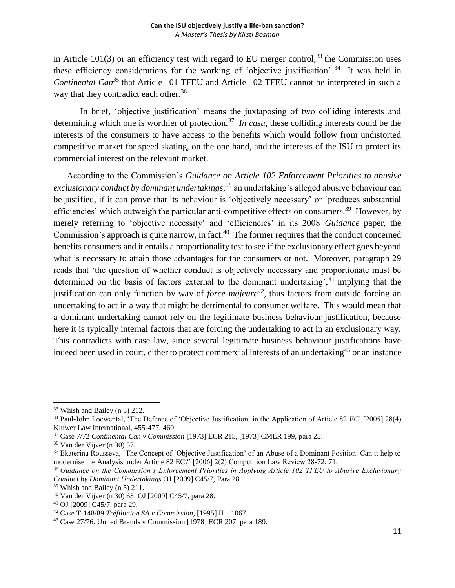in Article 101(3) or an efficiency test with regard to EU merger control,<sup>33</sup> the Commission uses these efficiency considerations for the working of 'objective justification'.<sup>34</sup> It was held in *Continental Can<sup>35</sup>* that Article 101 TFEU and Article 102 TFEU cannot be interpreted in such a way that they contradict each other.<sup>36</sup>

In brief, 'objective justification' means the juxtaposing of two colliding interests and determining which one is worthier of protection.<sup>37</sup> In casu, these colliding interests could be the interests of the consumers to have access to the benefits which would follow from undistorted competitive market for speed skating, on the one hand, and the interests of the ISU to protect its commercial interest on the relevant market.

According to the Commission's *Guidance on Article 102 Enforcement Priorities to abusive exclusionary conduct by dominant undertakings, <sup>38</sup>* an undertaking's alleged abusive behaviour can be justified, if it can prove that its behaviour is 'objectively necessary' or 'produces substantial efficiencies' which outweigh the particular anti-competitive effects on consumers.<sup>39</sup> However, by merely referring to 'objective necessity' and 'efficiencies' in its 2008 *Guidance* paper, the Commission's approach is quite narrow, in fact.<sup>40</sup> The former requires that the conduct concerned benefits consumers and it entails a proportionality test to see if the exclusionary effect goes beyond what is necessary to attain those advantages for the consumers or not. Moreover, paragraph 29 reads that 'the question of whether conduct is objectively necessary and proportionate must be determined on the basis of factors external to the dominant undertaking', <sup>41</sup> implying that the justification can only function by way of *force majeure<sup>42</sup>*, thus factors from outside forcing an undertaking to act in a way that might be detrimental to consumer welfare. This would mean that a dominant undertaking cannot rely on the legitimate business behaviour justification, because here it is typically internal factors that are forcing the undertaking to act in an exclusionary way. This contradicts with case law, since several legitimate business behaviour justifications have indeed been used in court, either to protect commercial interests of an undertaking<sup>43</sup> or an instance

<sup>33</sup> Whish and Bailey (n 5) 212.

<sup>34</sup> Paul-John Loewental, 'The Defence of 'Objective Justification' in the Application of Article 82 *EC*' [2005] 28(4) Kluwer Law International, 455-477, 460.

<sup>35</sup> Case 7/72 *Continental Can v Commission* [1973] ECR 215, [1973] CMLR 199, para 25.

<sup>36</sup> Van der Vijver (n 30) 57.

<sup>&</sup>lt;sup>37</sup> Ekaterina Rousseva, 'The Concept of 'Objective Justification' of an Abuse of a Dominant Position: Can it help to modernise the Analysis under Article 82 EC?' [2006] 2(2) Competition Law Review 28-72, 71.

<sup>38</sup> *Guidance on the Commission's Enforcement Priorities in Applying Article 102 TFEU to Abusive Exclusionary Conduct by Dominant Undertakings* OJ [2009] C45/7, Para 28.

 $39$  Whish and Bailey (n 5) 211.

<sup>40</sup> Van der Vijver (n 30) 63; OJ [2009] C45/7, para 28.

<sup>41</sup> OJ [2009] C45/7, para 29.

<sup>42</sup> Case T-148/89 *Tréfilunion SA v Commission*, [1995] II – 1067.

<sup>43</sup> Case 27/76. United Brands v Commission [1978] ECR 207, para 189.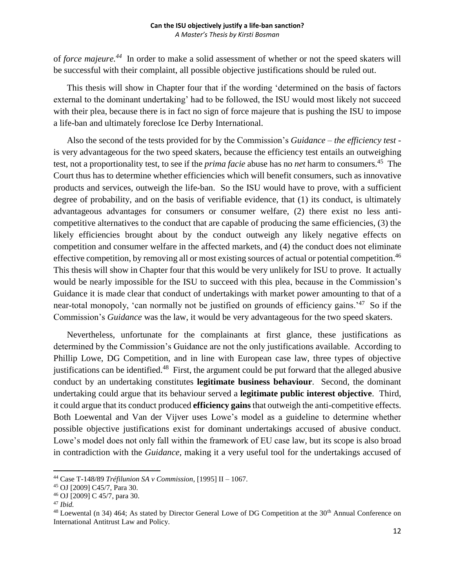of *force majeure.<sup>44</sup>* In order to make a solid assessment of whether or not the speed skaters will be successful with their complaint, all possible objective justifications should be ruled out.

This thesis will show in Chapter four that if the wording 'determined on the basis of factors external to the dominant undertaking' had to be followed, the ISU would most likely not succeed with their plea, because there is in fact no sign of force majeure that is pushing the ISU to impose a life-ban and ultimately foreclose Ice Derby International.

Also the second of the tests provided for by the Commission's *Guidance – the efficiency test*  is very advantageous for the two speed skaters, because the efficiency test entails an outweighing test, not a proportionality test, to see if the *prima facie* abuse has no *net* harm to consumers.<sup>45</sup> The Court thus has to determine whether efficiencies which will benefit consumers, such as innovative products and services, outweigh the life-ban. So the ISU would have to prove, with a sufficient degree of probability, and on the basis of verifiable evidence, that (1) its conduct, is ultimately advantageous advantages for consumers or consumer welfare, (2) there exist no less anticompetitive alternatives to the conduct that are capable of producing the same efficiencies, (3) the likely efficiencies brought about by the conduct outweigh any likely negative effects on competition and consumer welfare in the affected markets, and (4) the conduct does not eliminate effective competition, by removing all or most existing sources of actual or potential competition.<sup>46</sup> This thesis will show in Chapter four that this would be very unlikely for ISU to prove. It actually would be nearly impossible for the ISU to succeed with this plea, because in the Commission's Guidance it is made clear that conduct of undertakings with market power amounting to that of a near-total monopoly, 'can normally not be justified on grounds of efficiency gains.<sup>'47</sup> So if the Commission's *Guidance* was the law, it would be very advantageous for the two speed skaters.

Nevertheless, unfortunate for the complainants at first glance, these justifications as determined by the Commission's Guidance are not the only justifications available. According to Phillip Lowe, DG Competition, and in line with European case law, three types of objective justifications can be identified.<sup>48</sup> First, the argument could be put forward that the alleged abusive conduct by an undertaking constitutes **legitimate business behaviour**. Second, the dominant undertaking could argue that its behaviour served a **legitimate public interest objective**. Third, it could argue that its conduct produced **efficiency gains** that outweigh the anti-competitive effects. Both Loewental and Van der Vijver uses Lowe's model as a guideline to determine whether possible objective justifications exist for dominant undertakings accused of abusive conduct. Lowe's model does not only fall within the framework of EU case law, but its scope is also broad in contradiction with the *Guidance,* making it a very useful tool for the undertakings accused of

<sup>44</sup> Case T-148/89 *Tréfilunion SA v Commission*, [1995] II – 1067.

<sup>45</sup> OJ [2009] C45/7, Para 30.

<sup>46</sup> OJ [2009] C 45/7, para 30.

<sup>47</sup> *Ibid.*

<sup>&</sup>lt;sup>48</sup> Loewental (n 34) 464; As stated by Director General Lowe of DG Competition at the 30<sup>th</sup> Annual Conference on International Antitrust Law and Policy.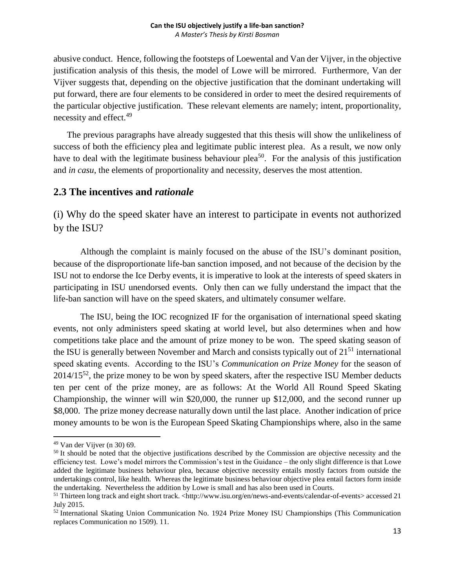abusive conduct. Hence, following the footsteps of Loewental and Van der Vijver, in the objective justification analysis of this thesis, the model of Lowe will be mirrored. Furthermore, Van der Vijver suggests that, depending on the objective justification that the dominant undertaking will put forward, there are four elements to be considered in order to meet the desired requirements of the particular objective justification. These relevant elements are namely; intent, proportionality, necessity and effect.<sup>49</sup>

The previous paragraphs have already suggested that this thesis will show the unlikeliness of success of both the efficiency plea and legitimate public interest plea. As a result, we now only have to deal with the legitimate business behaviour plea<sup>50</sup>. For the analysis of this justification and *in casu*, the elements of proportionality and necessity, deserves the most attention.

## <span id="page-13-0"></span>**2.3 The incentives and** *rationale*

<span id="page-13-1"></span>(i) Why do the speed skater have an interest to participate in events not authorized by the ISU?

Although the complaint is mainly focused on the abuse of the ISU's dominant position, because of the disproportionate life-ban sanction imposed, and not because of the decision by the ISU not to endorse the Ice Derby events, it is imperative to look at the interests of speed skaters in participating in ISU unendorsed events. Only then can we fully understand the impact that the life-ban sanction will have on the speed skaters, and ultimately consumer welfare.

The ISU, being the IOC recognized IF for the organisation of international speed skating events, not only administers speed skating at world level, but also determines when and how competitions take place and the amount of prize money to be won. The speed skating season of the ISU is generally between November and March and consists typically out of  $21<sup>51</sup>$  international speed skating events. According to the ISU's *Communication on Prize Money* for the season of  $2014/15^{52}$ , the prize money to be won by speed skaters, after the respective ISU Member deducts ten per cent of the prize money, are as follows: At the World All Round Speed Skating Championship, the winner will win \$20,000, the runner up \$12,000, and the second runner up \$8,000. The prize money decrease naturally down until the last place. Another indication of price money amounts to be won is the European Speed Skating Championships where, also in the same

<sup>49</sup> Van der Vijver (n 30) 69.

<sup>&</sup>lt;sup>50</sup> It should be noted that the objective justifications described by the Commission are objective necessity and the efficiency test. Lowe's model mirrors the Commission's test in the Guidance – the only slight difference is that Lowe added the legitimate business behaviour plea, because objective necessity entails mostly factors from outside the undertakings control, like health. Whereas the legitimate business behaviour objective plea entail factors form inside the undertaking. Nevertheless the addition by Lowe is small and has also been used in Courts.

 $51$  Thirteen long track and eight short track. <http://www.isu.org/en/news-and-events/calendar-of-events> accessed 21 July 2015.

<sup>52</sup> International Skating Union Communication No. 1924 Prize Money ISU Championships (This Communication replaces Communication no 1509). 11.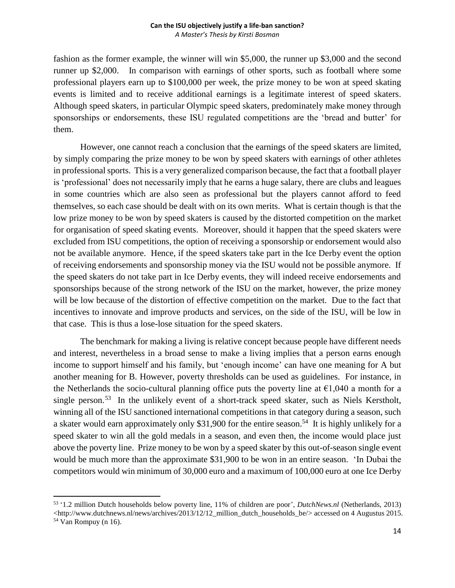fashion as the former example, the winner will win \$5,000, the runner up \$3,000 and the second runner up \$2,000. In comparison with earnings of other sports, such as football where some professional players earn up to \$100,000 per week, the prize money to be won at speed skating events is limited and to receive additional earnings is a legitimate interest of speed skaters. Although speed skaters, in particular Olympic speed skaters, predominately make money through sponsorships or endorsements, these ISU regulated competitions are the 'bread and butter' for them.

However, one cannot reach a conclusion that the earnings of the speed skaters are limited, by simply comparing the prize money to be won by speed skaters with earnings of other athletes in professional sports. This is a very generalized comparison because, the fact that a football player is 'professional' does not necessarily imply that he earns a huge salary, there are clubs and leagues in some countries which are also seen as professional but the players cannot afford to feed themselves, so each case should be dealt with on its own merits. What is certain though is that the low prize money to be won by speed skaters is caused by the distorted competition on the market for organisation of speed skating events. Moreover, should it happen that the speed skaters were excluded from ISU competitions, the option of receiving a sponsorship or endorsement would also not be available anymore. Hence, if the speed skaters take part in the Ice Derby event the option of receiving endorsements and sponsorship money via the ISU would not be possible anymore. If the speed skaters do not take part in Ice Derby events, they will indeed receive endorsements and sponsorships because of the strong network of the ISU on the market, however, the prize money will be low because of the distortion of effective competition on the market. Due to the fact that incentives to innovate and improve products and services, on the side of the ISU, will be low in that case. This is thus a lose-lose situation for the speed skaters.

The benchmark for making a living is relative concept because people have different needs and interest, nevertheless in a broad sense to make a living implies that a person earns enough income to support himself and his family, but 'enough income' can have one meaning for A but another meaning for B. However, poverty thresholds can be used as guidelines. For instance, in the Netherlands the socio-cultural planning office puts the poverty line at  $\epsilon$ 1,040 a month for a single person.<sup>53</sup> In the unlikely event of a short-track speed skater, such as Niels Kerstholt, winning all of the ISU sanctioned international competitions in that category during a season, such a skater would earn approximately only \$31,900 for the entire season.<sup>54</sup> It is highly unlikely for a speed skater to win all the gold medals in a season, and even then, the income would place just above the poverty line. Prize money to be won by a speed skater by this out-of-season single event would be much more than the approximate \$31,900 to be won in an entire season. 'In Dubai the competitors would win minimum of 30,000 euro and a maximum of 100,000 euro at one Ice Derby

l

<sup>53</sup> '1.2 million Dutch households below poverty line, 11% of children are poor', *DutchNews.nl* (Netherlands, 2013)  $\langle$ http://www.dutchnews.nl/news/archives/2013/12/12\_million\_dutch\_households\_be/> accessed on 4 Augustus 2015.  $54$  Van Rompuy (n 16).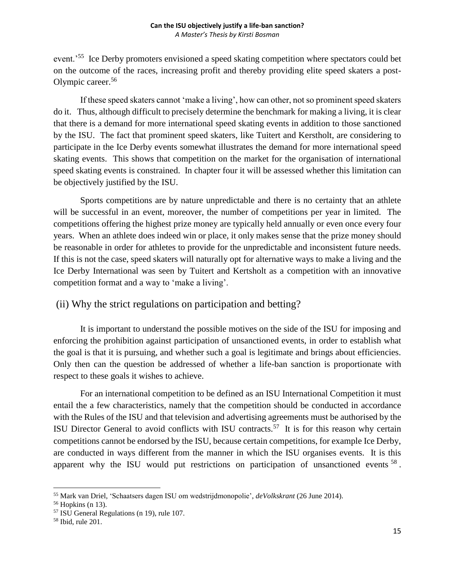event.<sup>55</sup> Ice Derby promoters envisioned a speed skating competition where spectators could bet on the outcome of the races, increasing profit and thereby providing elite speed skaters a post-Olympic career.<sup>56</sup>

If these speed skaters cannot 'make a living', how can other, not so prominent speed skaters do it. Thus, although difficult to precisely determine the benchmark for making a living, it is clear that there is a demand for more international speed skating events in addition to those sanctioned by the ISU. The fact that prominent speed skaters, like Tuitert and Kerstholt, are considering to participate in the Ice Derby events somewhat illustrates the demand for more international speed skating events. This shows that competition on the market for the organisation of international speed skating events is constrained. In chapter four it will be assessed whether this limitation can be objectively justified by the ISU.

Sports competitions are by nature unpredictable and there is no certainty that an athlete will be successful in an event, moreover, the number of competitions per year in limited. The competitions offering the highest prize money are typically held annually or even once every four years. When an athlete does indeed win or place, it only makes sense that the prize money should be reasonable in order for athletes to provide for the unpredictable and inconsistent future needs. If this is not the case, speed skaters will naturally opt for alternative ways to make a living and the Ice Derby International was seen by Tuitert and Kertsholt as a competition with an innovative competition format and a way to 'make a living'.

## <span id="page-15-0"></span>(ii) Why the strict regulations on participation and betting?

It is important to understand the possible motives on the side of the ISU for imposing and enforcing the prohibition against participation of unsanctioned events, in order to establish what the goal is that it is pursuing, and whether such a goal is legitimate and brings about efficiencies. Only then can the question be addressed of whether a life-ban sanction is proportionate with respect to these goals it wishes to achieve.

For an international competition to be defined as an ISU International Competition it must entail the a few characteristics, namely that the competition should be conducted in accordance with the Rules of the ISU and that television and advertising agreements must be authorised by the ISU Director General to avoid conflicts with ISU contracts.<sup>57</sup> It is for this reason why certain competitions cannot be endorsed by the ISU, because certain competitions, for example Ice Derby, are conducted in ways different from the manner in which the ISU organises events. It is this apparent why the ISU would put restrictions on participation of unsanctioned events  $^{58}$ .

 $\overline{a}$ <sup>55</sup> Mark van Driel, 'Schaatsers dagen ISU om wedstrijdmonopolie', *deVolkskrant* (26 June 2014).

<sup>56</sup> Hopkins (n 13).

<sup>57</sup> ISU General Regulations (n 19), rule 107.

<sup>58</sup> Ibid, rule 201.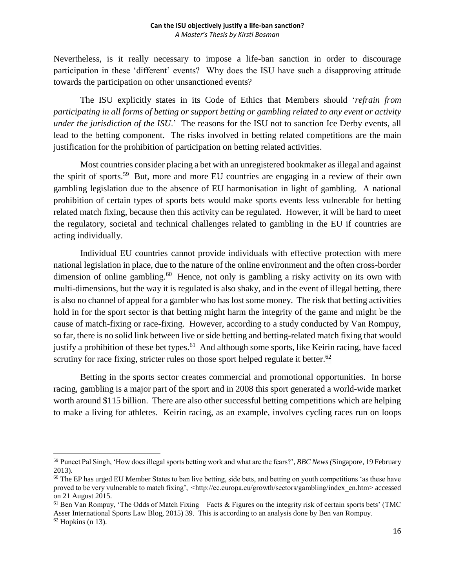Nevertheless, is it really necessary to impose a life-ban sanction in order to discourage participation in these 'different' events? Why does the ISU have such a disapproving attitude towards the participation on other unsanctioned events?

The ISU explicitly states in its Code of Ethics that Members should '*refrain from participating in all forms of betting or support betting or gambling related to any event or activity under the jurisdiction of the ISU*.' The reasons for the ISU not to sanction Ice Derby events, all lead to the betting component. The risks involved in betting related competitions are the main justification for the prohibition of participation on betting related activities.

Most countries consider placing a bet with an unregistered bookmaker as illegal and against the spirit of sports.<sup>59</sup> But, more and more EU countries are engaging in a review of their own gambling legislation due to the absence of EU harmonisation in light of gambling. A national prohibition of certain types of sports bets would make sports events less vulnerable for betting related match fixing, because then this activity can be regulated. However, it will be hard to meet the regulatory, societal and technical challenges related to gambling in the EU if countries are acting individually.

Individual EU countries cannot provide individuals with effective protection with mere national legislation in place, due to the nature of the online environment and the often cross-border dimension of online gambling.<sup>60</sup> Hence, not only is gambling a risky activity on its own with multi-dimensions, but the way it is regulated is also shaky, and in the event of illegal betting, there is also no channel of appeal for a gambler who has lost some money. The risk that betting activities hold in for the sport sector is that betting might harm the integrity of the game and might be the cause of match-fixing or race-fixing. However, according to a study conducted by Van Rompuy, so far, there is no solid link between live or side betting and betting-related match fixing that would justify a prohibition of these bet types.<sup>61</sup> And although some sports, like Keirin racing, have faced scrutiny for race fixing, stricter rules on those sport helped regulate it better. $62$ 

Betting in the sports sector creates commercial and promotional opportunities. In horse racing, gambling is a major part of the sport and in 2008 this sport generated a world-wide market worth around \$115 billion. There are also other successful betting competitions which are helping to make a living for athletes. Keirin racing, as an example, involves cycling races run on loops

<sup>59</sup> Puneet Pal Singh, 'How does illegal sports betting work and what are the fears?'*, BBC News (*Singapore, 19 February 2013).

 $60$  The EP has urged EU Member States to ban live betting, side bets, and betting on youth competitions 'as these have proved to be very vulnerable to match fixing', <http://ec.europa.eu/growth/sectors/gambling/index\_en.htm> accessed on 21 August 2015.

 $<sup>61</sup>$  Ben Van Rompuy, 'The Odds of Match Fixing – Facts & Figures on the integrity risk of certain sports bets' (TMC)</sup> Asser International Sports Law Blog, 2015) 39. This is according to an analysis done by Ben van Rompuy.  $62$  Hopkins (n 13).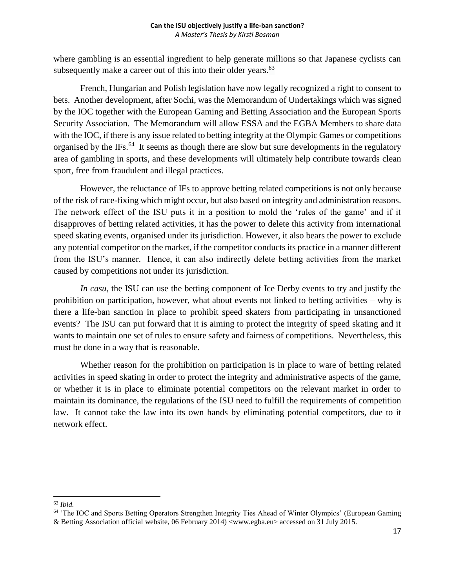where gambling is an essential ingredient to help generate millions so that Japanese cyclists can subsequently make a career out of this into their older years.<sup>63</sup>

French, Hungarian and Polish legislation have now legally recognized a right to consent to bets. Another development, after Sochi, was the Memorandum of Undertakings which was signed by the IOC together with the European Gaming and Betting Association and the European Sports Security Association. The Memorandum will allow ESSA and the EGBA Members to share data with the IOC, if there is any issue related to betting integrity at the Olympic Games or competitions organised by the IFs. $^{64}$  It seems as though there are slow but sure developments in the regulatory area of gambling in sports, and these developments will ultimately help contribute towards clean sport, free from fraudulent and illegal practices.

However, the reluctance of IFs to approve betting related competitions is not only because of the risk of race-fixing which might occur, but also based on integrity and administration reasons. The network effect of the ISU puts it in a position to mold the 'rules of the game' and if it disapproves of betting related activities, it has the power to delete this activity from international speed skating events, organised under its jurisdiction. However, it also bears the power to exclude any potential competitor on the market, if the competitor conducts its practice in a manner different from the ISU's manner. Hence, it can also indirectly delete betting activities from the market caused by competitions not under its jurisdiction.

*In casu*, the ISU can use the betting component of Ice Derby events to try and justify the prohibition on participation, however, what about events not linked to betting activities – why is there a life-ban sanction in place to prohibit speed skaters from participating in unsanctioned events? The ISU can put forward that it is aiming to protect the integrity of speed skating and it wants to maintain one set of rules to ensure safety and fairness of competitions. Nevertheless, this must be done in a way that is reasonable.

Whether reason for the prohibition on participation is in place to ware of betting related activities in speed skating in order to protect the integrity and administrative aspects of the game, or whether it is in place to eliminate potential competitors on the relevant market in order to maintain its dominance, the regulations of the ISU need to fulfill the requirements of competition law. It cannot take the law into its own hands by eliminating potential competitors, due to it network effect.

l <sup>63</sup> *Ibid.*

<sup>&</sup>lt;sup>64</sup> 'The IOC and Sports Betting Operators Strengthen Integrity Ties Ahead of Winter Olympics' (European Gaming & Betting Association official website, 06 February 2014) [<www.egba.eu>](http://www.egba.eu/) accessed on 31 July 2015.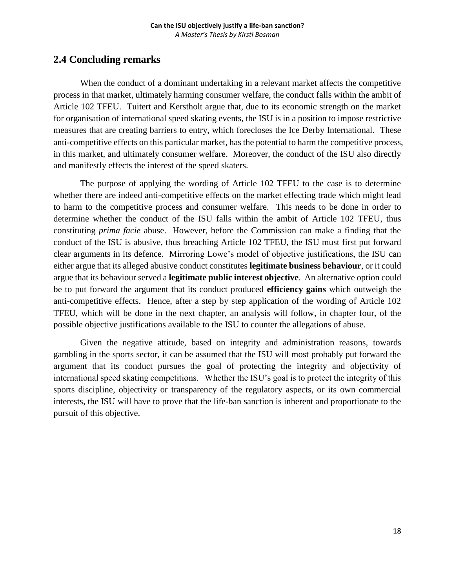## <span id="page-18-0"></span>**2.4 Concluding remarks**

When the conduct of a dominant undertaking in a relevant market affects the competitive process in that market, ultimately harming consumer welfare, the conduct falls within the ambit of Article 102 TFEU. Tuitert and Kerstholt argue that, due to its economic strength on the market for organisation of international speed skating events, the ISU is in a position to impose restrictive measures that are creating barriers to entry, which forecloses the Ice Derby International. These anti-competitive effects on this particular market, has the potential to harm the competitive process, in this market, and ultimately consumer welfare. Moreover, the conduct of the ISU also directly and manifestly effects the interest of the speed skaters.

The purpose of applying the wording of Article 102 TFEU to the case is to determine whether there are indeed anti-competitive effects on the market effecting trade which might lead to harm to the competitive process and consumer welfare. This needs to be done in order to determine whether the conduct of the ISU falls within the ambit of Article 102 TFEU, thus constituting *prima facie* abuse. However, before the Commission can make a finding that the conduct of the ISU is abusive, thus breaching Article 102 TFEU, the ISU must first put forward clear arguments in its defence. Mirroring Lowe's model of objective justifications, the ISU can either argue that its alleged abusive conduct constitutes **legitimate business behaviour**, or it could argue that its behaviour served a **legitimate public interest objective**. An alternative option could be to put forward the argument that its conduct produced **efficiency gains** which outweigh the anti-competitive effects. Hence, after a step by step application of the wording of Article 102 TFEU, which will be done in the next chapter, an analysis will follow, in chapter four, of the possible objective justifications available to the ISU to counter the allegations of abuse.

Given the negative attitude, based on integrity and administration reasons, towards gambling in the sports sector, it can be assumed that the ISU will most probably put forward the argument that its conduct pursues the goal of protecting the integrity and objectivity of international speed skating competitions. Whether the ISU's goal is to protect the integrity of this sports discipline, objectivity or transparency of the regulatory aspects, or its own commercial interests, the ISU will have to prove that the life-ban sanction is inherent and proportionate to the pursuit of this objective.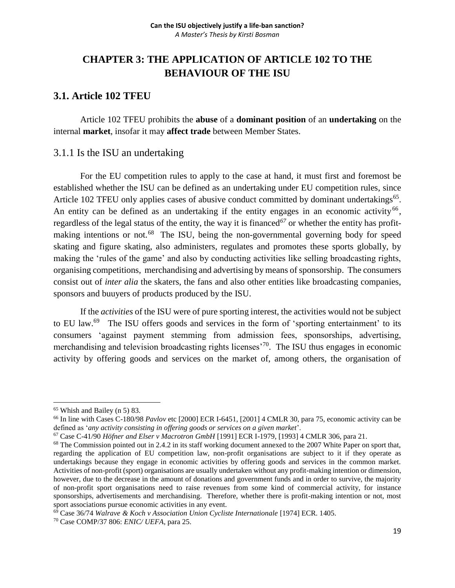## <span id="page-19-0"></span>**CHAPTER 3: THE APPLICATION OF ARTICLE 102 TO THE BEHAVIOUR OF THE ISU**

## <span id="page-19-1"></span>**3.1. Article 102 TFEU**

Article 102 TFEU prohibits the **abuse** of a **dominant position** of an **undertaking** on the internal **market**, insofar it may **affect trade** between Member States.

## <span id="page-19-2"></span>3.1.1 Is the ISU an undertaking

For the EU competition rules to apply to the case at hand, it must first and foremost be established whether the ISU can be defined as an undertaking under EU competition rules, since Article 102 TFEU only applies cases of abusive conduct committed by dominant undertakings<sup>65</sup>. An entity can be defined as an undertaking if the entity engages in an economic activity<sup>66</sup>, regardless of the legal status of the entity, the way it is financed*<sup>67</sup>* or whether the entity has profitmaking intentions or not.<sup>68</sup> The ISU, being the non-governmental governing body for speed skating and figure skating, also administers, regulates and promotes these sports globally, by making the 'rules of the game' and also by conducting activities like selling broadcasting rights, organising competitions, merchandising and advertising by means of sponsorship. The consumers consist out of *inter alia* the skaters, the fans and also other entities like broadcasting companies, sponsors and buuyers of products produced by the ISU.

If the *activities* of the ISU were of pure sporting interest, the activities would not be subject to EU law. $^{69}$  The ISU offers goods and services in the form of 'sporting entertainment' to its consumers 'against payment stemming from admission fees, sponsorships, advertising, merchandising and television broadcasting rights licenses<sup> $70$ </sup>. The ISU thus engages in economic activity by offering goods and services on the market of, among others, the organisation of

<sup>65</sup> Whish and Bailey (n 5) 83.

<sup>66</sup> In line with Cases C-180/98 *Pavlov* etc [2000] ECR I-6451, [2001] 4 CMLR 30, para 75, economic activity can be defined as '*any activity consisting in offering goods or services on a given market*'.

<sup>67</sup> Case C-41/90 *Höfner and Elser v Macrotron GmbH* [1991] ECR I-1979, [1993] 4 CMLR 306, para 21.

<sup>&</sup>lt;sup>68</sup> The Commission pointed out in 2.4.2 in its staff working document annexed to the 2007 White Paper on sport that, regarding the application of EU competition law, non-profit organisations are subject to it if they operate as undertakings because they engage in economic activities by offering goods and services in the common market. Activities of non-profit (sport) organisations are usually undertaken without any profit-making intention or dimension, however, due to the decrease in the amount of donations and government funds and in order to survive, the majority of non-profit sport organisations need to raise revenues from some kind of commercial activity, for instance sponsorships, advertisements and merchandising. Therefore, whether there is profit-making intention or not, most sport associations pursue economic activities in any event.

<sup>69</sup> Case 36/74 *Walrave & Koch v Association Union Cycliste Internationale* [1974] ECR. 1405.

<sup>70</sup> Case COMP/37 806: *ENIC/ UEFA*, para 25.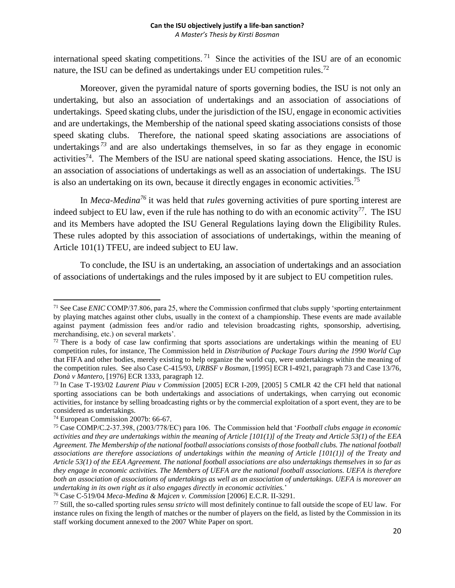international speed skating competitions.<sup>71</sup> Since the activities of the ISU are of an economic nature, the ISU can be defined as undertakings under EU competition rules.<sup>72</sup>

Moreover, given the pyramidal nature of sports governing bodies, the ISU is not only an undertaking, but also an association of undertakings and an association of associations of undertakings. Speed skating clubs, under the jurisdiction of the ISU, engage in economic activities and are undertakings, the Membership of the national speed skating associations consists of those speed skating clubs. Therefore, the national speed skating associations are associations of undertakings<sup>73</sup> and are also undertakings themselves, in so far as they engage in economic activities<sup>74</sup>. The Members of the ISU are national speed skating associations. Hence, the ISU is an association of associations of undertakings as well as an association of undertakings. The ISU is also an undertaking on its own, because it directly engages in economic activities.<sup>75</sup>

In *Meca-Medina<sup>76</sup>* it was held that *rules* governing activities of pure sporting interest are indeed subject to EU law, even if the rule has nothing to do with an economic activity<sup>77</sup>. The ISU and its Members have adopted the ISU General Regulations laying down the Eligibility Rules. These rules adopted by this association of associations of undertakings, within the meaning of Article 101(1) TFEU, are indeed subject to EU law.

To conclude, the ISU is an undertaking, an association of undertakings and an association of associations of undertakings and the rules imposed by it are subject to EU competition rules.

<sup>71</sup> See Case *ENIC* COMP/37.806, para 25, where the Commission confirmed that clubs supply 'sporting entertainment by playing matches against other clubs, usually in the context of a championship. These events are made available against payment (admission fees and/or radio and television broadcasting rights, sponsorship, advertising, merchandising, etc.) on several markets'.

 $72$  There is a body of case law confirming that sports associations are undertakings within the meaning of EU competition rules, for instance, The Commission held in *Distribution of Package Tours during the 1990 World Cup* that FIFA and other bodies, merely existing to help organize the world cup, were undertakings within the meaning of the competition rules. See also Case C-415/93, *URBSF v Bosman*, [1995] ECR I-4921, paragraph 73 and Case 13/76, *Donà v Mantero,* [1976] ECR 1333, paragraph 12.

<sup>73</sup> In Case T-193/02 *Laurent Piau v Commission* [2005] ECR I-209, [2005] 5 CMLR 42 the CFI held that national sporting associations can be both undertakings and associations of undertakings, when carrying out economic activities, for instance by selling broadcasting rights or by the commercial exploitation of a sport event, they are to be considered as undertakings.

<sup>74</sup> European Commission 2007b: 66-67.

<sup>75</sup> Case COMP/C.2-37.398, (2003/778/EC) para 106. The Commission held that '*Football clubs engage in economic activities and they are undertakings within the meaning of Article [101(1)] of the Treaty and Article 53(1) of the EEA Agreement. The Membership of the national football associations consists of those football clubs. The national football associations are therefore associations of undertakings within the meaning of Article [101(1)] of the Treaty and Article 53(1) of the EEA Agreement. The national football associations are also undertakings themselves in so far as they engage in economic activities. The Members of UEFA are the national football associations. UEFA is therefore both an association of associations of undertakings as well as an association of undertakings. UEFA is moreover an undertaking in its own right as it also engages directly in economic activities.*'

<sup>76</sup> Case C-519/04 *Meca-Medina & Majcen v. Commission* [2006] E.C.R. II-3291.

<sup>77</sup> Still, the so-called sporting rules *sensu stricto* will most definitely continue to fall outside the scope of EU law. For instance rules on fixing the length of matches or the number of players on the field, as listed by the Commission in its staff working document annexed to the 2007 White Paper on sport.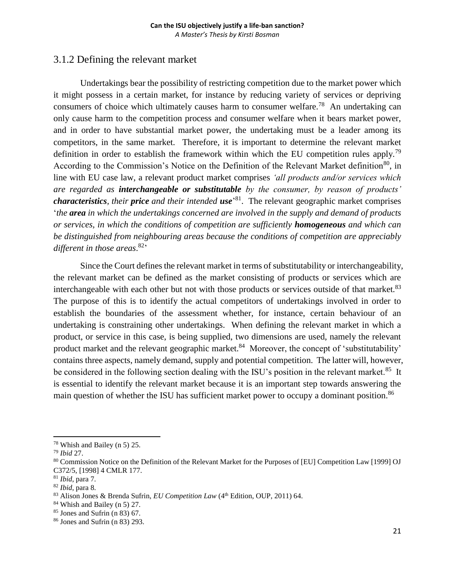## <span id="page-21-0"></span>3.1.2 Defining the relevant market

Undertakings bear the possibility of restricting competition due to the market power which it might possess in a certain market, for instance by reducing variety of services or depriving consumers of choice which ultimately causes harm to consumer welfare.<sup>78</sup> An undertaking can only cause harm to the competition process and consumer welfare when it bears market power, and in order to have substantial market power, the undertaking must be a leader among its competitors, in the same market. Therefore, it is important to determine the relevant market definition in order to establish the framework within which the EU competition rules apply.<sup>79</sup> According to the Commission's Notice on the Definition of the Relevant Market definition<sup>80</sup>, in line with EU case law, a relevant product market comprises *'all products and/or services which are regarded as interchangeable or substitutable by the consumer, by reason of products' characteristics, their price and their intended use*' <sup>81</sup>. The relevant geographic market comprises '*the area in which the undertakings concerned are involved in the supply and demand of products or services, in which the conditions of competition are sufficiently homogeneous and which can be distinguished from neighbouring areas because the conditions of competition are appreciably different in those areas*. <sup>82</sup>'

Since the Court defines the relevant market in terms of substitutability or interchangeability, the relevant market can be defined as the market consisting of products or services which are interchangeable with each other but not with those products or services outside of that market.<sup>83</sup> The purpose of this is to identify the actual competitors of undertakings involved in order to establish the boundaries of the assessment whether, for instance, certain behaviour of an undertaking is constraining other undertakings. When defining the relevant market in which a product, or service in this case, is being supplied, two dimensions are used, namely the relevant product market and the relevant geographic market.<sup>84</sup> Moreover, the concept of 'substitutability' contains three aspects, namely demand, supply and potential competition. The latter will, however, be considered in the following section dealing with the ISU's position in the relevant market.<sup>85</sup> It is essential to identify the relevant market because it is an important step towards answering the main question of whether the ISU has sufficient market power to occupy a dominant position.<sup>86</sup>

 $\overline{a}$ <sup>78</sup> Whish and Bailey (n 5) 25.

<sup>79</sup> *Ibid* 27.

<sup>&</sup>lt;sup>80</sup> Commission Notice on the Definition of the Relevant Market for the Purposes of [EU] Competition Law [1999] OJ C372/5, [1998] 4 CMLR 177.

<sup>81</sup> *Ibid*, para 7.

<sup>82</sup> *Ibid*, para 8.

<sup>83</sup> Alison Jones & Brenda Sufrin, *EU Competition Law* (4th Edition, OUP, 2011) 64.

<sup>84</sup> Whish and Bailey (n 5) 27.

 $85$  Jones and Sufrin (n 83) 67.

<sup>86</sup> Jones and Sufrin (n 83) 293.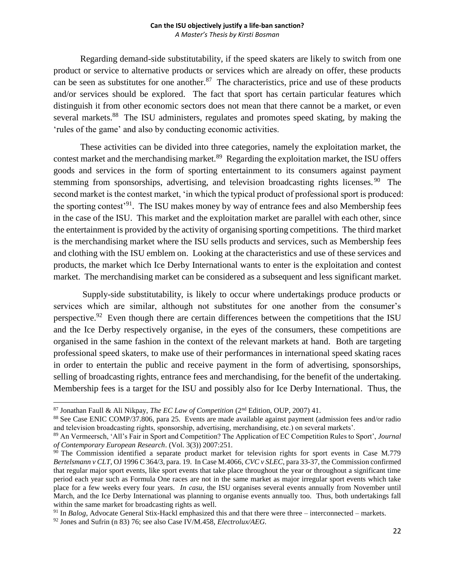Regarding demand-side substitutability, if the speed skaters are likely to switch from one product or service to alternative products or services which are already on offer, these products can be seen as substitutes for one another.<sup>87</sup> The characteristics, price and use of these products and/or services should be explored. The fact that sport has certain particular features which distinguish it from other economic sectors does not mean that there cannot be a market, or even several markets.<sup>88</sup> The ISU administers, regulates and promotes speed skating, by making the 'rules of the game' and also by conducting economic activities.

These activities can be divided into three categories, namely the exploitation market, the contest market and the merchandising market.<sup>89</sup> Regarding the exploitation market, the ISU offers goods and services in the form of sporting entertainment to its consumers against payment stemming from sponsorships, advertising, and television broadcasting rights licenses.<sup>90</sup> The second market is the contest market, 'in which the typical product of professional sport is produced: the sporting contest<sup>'91</sup>. The ISU makes money by way of entrance fees and also Membership fees in the case of the ISU. This market and the exploitation market are parallel with each other, since the entertainment is provided by the activity of organising sporting competitions. The third market is the merchandising market where the ISU sells products and services, such as Membership fees and clothing with the ISU emblem on. Looking at the characteristics and use of these services and products, the market which Ice Derby International wants to enter is the exploitation and contest market. The merchandising market can be considered as a subsequent and less significant market.

Supply-side substitutability, is likely to occur where undertakings produce products or services which are similar, although not substitutes for one another from the consumer's perspective.<sup>92</sup> Even though there are certain differences between the competitions that the ISU and the Ice Derby respectively organise, in the eyes of the consumers, these competitions are organised in the same fashion in the context of the relevant markets at hand. Both are targeting professional speed skaters, to make use of their performances in international speed skating races in order to entertain the public and receive payment in the form of advertising, sponsorships, selling of broadcasting rights, entrance fees and merchandising, for the benefit of the undertaking. Membership fees is a target for the ISU and possibly also for Ice Derby International. Thus, the

<sup>87</sup> Jonathan Faull & Ali Nikpay, *The EC Law of Competition* (2 nd Edition, OUP, 2007) 41.

<sup>88</sup> See Case ENIC COMP/37.806, para 25. Events are made available against payment (admission fees and/or radio and television broadcasting rights, sponsorship, advertising, merchandising, etc.) on several markets'.

<sup>89</sup> An Vermeersch, 'All's Fair in Sport and Competition? The Application of EC Competition Rules to Sport', *Journal of Contemporary European Research*. (Vol. 3(3)) 2007:251.

<sup>&</sup>lt;sup>90</sup> The Commission identified a separate product market for television rights for sport events in Case M.779 *Bertelsmann v CLT*, OJ 1996 C 364/3, para. 19. In Case M.4066, *CVC v SLEC*, para 33-37, the Commission confirmed that regular major sport events, like sport events that take place throughout the year or throughout a significant time period each year such as Formula One races are not in the same market as major irregular sport events which take place for a few weeks every four years. *In casu,* the ISU organises several events annually from November until March, and the Ice Derby International was planning to organise events annually too. Thus, both undertakings fall within the same market for broadcasting rights as well.

<sup>91</sup> In *Balog*, Advocate General Stix-Hackl emphasized this and that there were three – interconnected – markets. <sup>92</sup> Jones and Sufrin (n 83) 76; see also Case IV/M.458, *Electrolux/AEG.*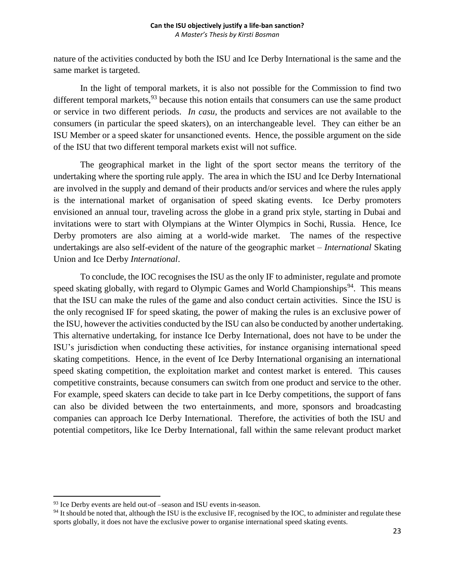nature of the activities conducted by both the ISU and Ice Derby International is the same and the same market is targeted.

In the light of temporal markets, it is also not possible for the Commission to find two different temporal markets,  $93$  because this notion entails that consumers can use the same product or service in two different periods. *In casu*, the products and services are not available to the consumers (in particular the speed skaters), on an interchangeable level. They can either be an ISU Member or a speed skater for unsanctioned events. Hence, the possible argument on the side of the ISU that two different temporal markets exist will not suffice.

The geographical market in the light of the sport sector means the territory of the undertaking where the sporting rule apply. The area in which the ISU and Ice Derby International are involved in the supply and demand of their products and/or services and where the rules apply is the international market of organisation of speed skating events. Ice Derby promoters envisioned an annual tour, traveling across the globe in a grand prix style, starting in Dubai and invitations were to start with Olympians at the Winter Olympics in Sochi, Russia. Hence, Ice Derby promoters are also aiming at a world-wide market. The names of the respective undertakings are also self-evident of the nature of the geographic market – *International* Skating Union and Ice Derby *International*.

To conclude, the IOC recognises the ISU as the only IF to administer, regulate and promote speed skating globally, with regard to Olympic Games and World Championships<sup>94</sup>. This means that the ISU can make the rules of the game and also conduct certain activities. Since the ISU is the only recognised IF for speed skating, the power of making the rules is an exclusive power of the ISU, however the activities conducted by the ISU can also be conducted by another undertaking. This alternative undertaking, for instance Ice Derby International, does not have to be under the ISU's jurisdiction when conducting these activities, for instance organising international speed skating competitions. Hence, in the event of Ice Derby International organising an international speed skating competition, the exploitation market and contest market is entered. This causes competitive constraints, because consumers can switch from one product and service to the other. For example, speed skaters can decide to take part in Ice Derby competitions, the support of fans can also be divided between the two entertainments, and more, sponsors and broadcasting companies can approach Ice Derby International. Therefore, the activities of both the ISU and potential competitors, like Ice Derby International, fall within the same relevant product market

l

<sup>93</sup> Ice Derby events are held out-of –season and ISU events in-season.

 $94$  It should be noted that, although the ISU is the exclusive IF, recognised by the IOC, to administer and regulate these sports globally, it does not have the exclusive power to organise international speed skating events.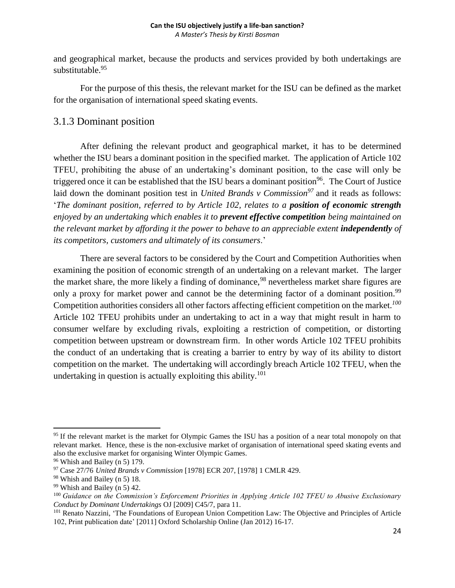and geographical market, because the products and services provided by both undertakings are substitutable.<sup>95</sup>

For the purpose of this thesis, the relevant market for the ISU can be defined as the market for the organisation of international speed skating events.

## <span id="page-24-0"></span>3.1.3 Dominant position

After defining the relevant product and geographical market, it has to be determined whether the ISU bears a dominant position in the specified market. The application of Article 102 TFEU, prohibiting the abuse of an undertaking's dominant position, to the case will only be triggered once it can be established that the ISU bears a dominant position<sup>96</sup>. The Court of Justice laid down the dominant position test in *United Brands v Commission<sup>97</sup>* and it reads as follows: '*The dominant position, referred to by Article 102, relates to a position of economic strength enjoyed by an undertaking which enables it to prevent effective competition being maintained on the relevant market by affording it the power to behave to an appreciable extent independently of its competitors, customers and ultimately of its consumers*.'

There are several factors to be considered by the Court and Competition Authorities when examining the position of economic strength of an undertaking on a relevant market. The larger the market share, the more likely a finding of dominance,<sup>98</sup> nevertheless market share figures are only a proxy for market power and cannot be the determining factor of a dominant position.<sup>99</sup> Competition authorities considers all other factors affecting efficient competition on the market.*<sup>100</sup>* Article 102 TFEU prohibits under an undertaking to act in a way that might result in harm to consumer welfare by excluding rivals, exploiting a restriction of competition, or distorting competition between upstream or downstream firm. In other words Article 102 TFEU prohibits the conduct of an undertaking that is creating a barrier to entry by way of its ability to distort competition on the market. The undertaking will accordingly breach Article 102 TFEU, when the undertaking in question is actually exploiting this ability.<sup>101</sup>

 $\overline{a}$ <sup>95</sup> If the relevant market is the market for Olympic Games the ISU has a position of a near total monopoly on that relevant market. Hence, these is the non-exclusive market of organisation of international speed skating events and also the exclusive market for organising Winter Olympic Games.

<sup>96</sup> Whish and Bailey (n 5) 179.

<sup>97</sup> Case 27/76 *United Brands v Commission* [1978] ECR 207, [1978] 1 CMLR 429.

<sup>98</sup> Whish and Bailey (n 5) 18.

<sup>99</sup> Whish and Bailey (n 5) 42.

<sup>100</sup> *Guidance on the Commission's Enforcement Priorities in Applying Article 102 TFEU to Abusive Exclusionary Conduct by Dominant Undertakings* OJ [2009] C45/7, para 11.

<sup>&</sup>lt;sup>101</sup> Renato Nazzini, 'The Foundations of European Union Competition Law: The Objective and Principles of Article 102, Print publication date' [2011] Oxford Scholarship Online (Jan 2012) 16-17.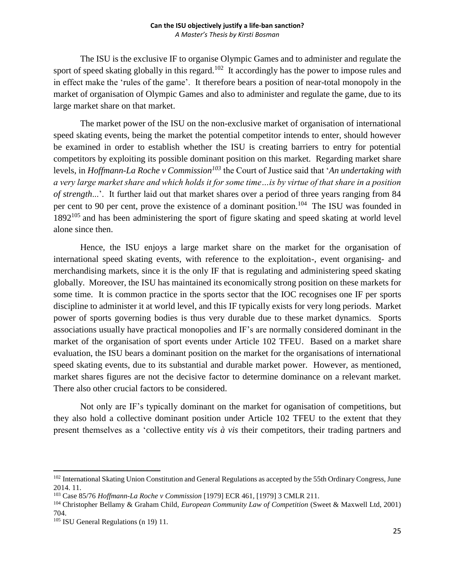The ISU is the exclusive IF to organise Olympic Games and to administer and regulate the sport of speed skating globally in this regard.<sup>102</sup> It accordingly has the power to impose rules and in effect make the 'rules of the game'. It therefore bears a position of near-total monopoly in the market of organisation of Olympic Games and also to administer and regulate the game, due to its large market share on that market.

The market power of the ISU on the non-exclusive market of organisation of international speed skating events, being the market the potential competitor intends to enter, should however be examined in order to establish whether the ISU is creating barriers to entry for potential competitors by exploiting its possible dominant position on this market. Regarding market share levels, in *Hoffmann-La Roche v Commission<sup>103</sup>* the Court of Justice said that '*An undertaking with a very large market share and which holds it for some time…is by virtue of that share in a position of strength*...'. It further laid out that market shares over a period of three years ranging from 84 per cent to 90 per cent, prove the existence of a dominant position.<sup>104</sup> The ISU was founded in 1892<sup>105</sup> and has been administering the sport of figure skating and speed skating at world level alone since then.

Hence, the ISU enjoys a large market share on the market for the organisation of international speed skating events, with reference to the exploitation-, event organising- and merchandising markets, since it is the only IF that is regulating and administering speed skating globally. Moreover, the ISU has maintained its economically strong position on these markets for some time. It is common practice in the sports sector that the IOC recognises one IF per sports discipline to administer it at world level, and this IF typically exists for very long periods. Market power of sports governing bodies is thus very durable due to these market dynamics. Sports associations usually have practical monopolies and IF's are normally considered dominant in the market of the organisation of sport events under Article 102 TFEU. Based on a market share evaluation, the ISU bears a dominant position on the market for the organisations of international speed skating events, due to its substantial and durable market power. However, as mentioned, market shares figures are not the decisive factor to determine dominance on a relevant market. There also other crucial factors to be considered.

Not only are IF's typically dominant on the market for oganisation of competitions, but they also hold a collective dominant position under Article 102 TFEU to the extent that they present themselves as a 'collective entity *vis à vis* their competitors, their trading partners and

<sup>&</sup>lt;sup>102</sup> International Skating Union Constitution and General Regulations as accepted by the 55th Ordinary Congress, June 2014. 11.

<sup>103</sup> Case 85/76 *Hoffmann-La Roche v Commission* [1979] ECR 461, [1979] 3 CMLR 211.

<sup>104</sup> Christopher Bellamy & Graham Child, *European Community Law of Competition* (Sweet & Maxwell Ltd, 2001) 704.

<sup>105</sup> ISU General Regulations (n 19) 11.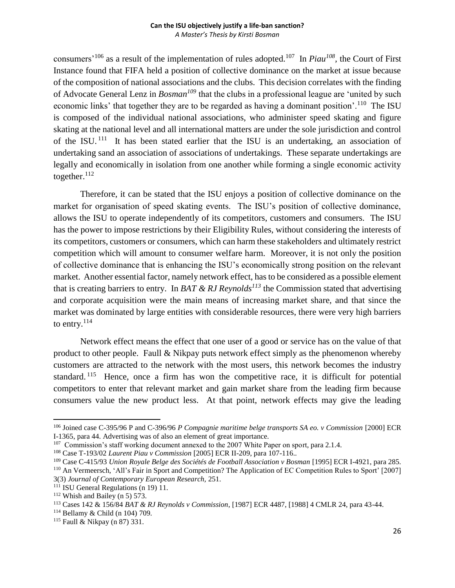consumers<sup>'106</sup> as a result of the implementation of rules adopted.<sup>107</sup> In *Piau<sup>108</sup>*, the Court of First Instance found that FIFA held a position of collective dominance on the market at issue because of the composition of national associations and the clubs. This decision correlates with the finding of Advocate General Lenz in *Bosman<sup>109</sup>* that the clubs in a professional league are 'united by such economic links' that together they are to be regarded as having a dominant position'.<sup>110</sup> The ISU is composed of the individual national associations, who administer speed skating and figure skating at the national level and all international matters are under the sole jurisdiction and control of the ISU.<sup>111</sup> It has been stated earlier that the ISU is an undertaking, an association of undertaking sand an association of associations of undertakings. These separate undertakings are legally and economically in isolation from one another while forming a single economic activity together. $112$ 

Therefore, it can be stated that the ISU enjoys a position of collective dominance on the market for organisation of speed skating events. The ISU's position of collective dominance, allows the ISU to operate independently of its competitors, customers and consumers. The ISU has the power to impose restrictions by their Eligibility Rules, without considering the interests of its competitors, customers or consumers, which can harm these stakeholders and ultimately restrict competition which will amount to consumer welfare harm. Moreover, it is not only the position of collective dominance that is enhancing the ISU's economically strong position on the relevant market. Another essential factor, namely network effect, has to be considered as a possible element that is creating barriers to entry. In *BAT & RJ Reynolds<sup>113</sup>* the Commission stated that advertising and corporate acquisition were the main means of increasing market share, and that since the market was dominated by large entities with considerable resources, there were very high barriers to entry. $^{114}$ 

Network effect means the effect that one user of a good or service has on the value of that product to other people. Faull & Nikpay puts network effect simply as the phenomenon whereby customers are attracted to the network with the most users, this network becomes the industry standard.<sup>115</sup> Hence, once a firm has won the competitive race, it is difficult for potential competitors to enter that relevant market and gain market share from the leading firm because consumers value the new product less. At that point, network effects may give the leading

<sup>106</sup> Joined case C-395/96 P and C-396/96 *P Compagnie maritime belge transports SA eo. v Commission* [2000] ECR I-1365, para 44. Advertising was of also an element of great importance.

<sup>&</sup>lt;sup>107</sup> Commission's staff working document annexed to the 2007 White Paper on sport, para 2.1.4.

<sup>108</sup> Case T-193/02 *Laurent Piau v Commission* [2005] ECR II-209, para 107-116..

<sup>109</sup> Case C-415/93 *Union Royale Belge des Sociétés de Football Association v Bosman* [1995] ECR I-4921, para 285. <sup>110</sup> An Vermeersch, 'All's Fair in Sport and Competition? The Application of EC Competition Rules to Sport' [2007]

<sup>3(3)</sup> *Journal of Contemporary European Research,* 251.

<sup>&</sup>lt;sup>111</sup> ISU General Regulations (n 19) 11.

 $112$  Whish and Bailey (n 5) 573.

<sup>113</sup> Cases 142 & 156/84 *BAT & RJ Reynolds v Commission*, [1987] ECR 4487, [1988] 4 CMLR 24, para 43-44.

<sup>114</sup> Bellamy & Child (n 104) 709.

<sup>115</sup> Faull & Nikpay (n 87) 331.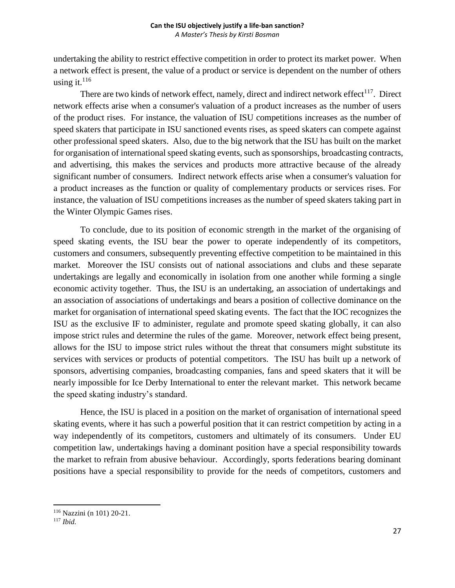undertaking the ability to restrict effective competition in order to protect its market power. When a network effect is present, the value of a product or service is dependent on the number of others using it. $^{116}$ 

There are two kinds of network effect, namely, direct and indirect network effect<sup>117</sup>. Direct network effects arise when a consumer's valuation of a product increases as the number of users of the product rises. For instance, the valuation of ISU competitions increases as the number of speed skaters that participate in ISU sanctioned events rises, as speed skaters can compete against other professional speed skaters. Also, due to the big network that the ISU has built on the market for organisation of international speed skating events, such as sponsorships, broadcasting contracts, and advertising, this makes the services and products more attractive because of the already significant number of consumers. Indirect network effects arise when a consumer's valuation for a product increases as the function or quality of complementary products or services rises. For instance, the valuation of ISU competitions increases as the number of speed skaters taking part in the Winter Olympic Games rises.

To conclude, due to its position of economic strength in the market of the organising of speed skating events, the ISU bear the power to operate independently of its competitors, customers and consumers, subsequently preventing effective competition to be maintained in this market. Moreover the ISU consists out of national associations and clubs and these separate undertakings are legally and economically in isolation from one another while forming a single economic activity together. Thus, the ISU is an undertaking, an association of undertakings and an association of associations of undertakings and bears a position of collective dominance on the market for organisation of international speed skating events. The fact that the IOC recognizes the ISU as the exclusive IF to administer, regulate and promote speed skating globally, it can also impose strict rules and determine the rules of the game. Moreover, network effect being present, allows for the ISU to impose strict rules without the threat that consumers might substitute its services with services or products of potential competitors. The ISU has built up a network of sponsors, advertising companies, broadcasting companies, fans and speed skaters that it will be nearly impossible for Ice Derby International to enter the relevant market. This network became the speed skating industry's standard.

Hence, the ISU is placed in a position on the market of organisation of international speed skating events, where it has such a powerful position that it can restrict competition by acting in a way independently of its competitors, customers and ultimately of its consumers. Under EU competition law, undertakings having a dominant position have a special responsibility towards the market to refrain from abusive behaviour. Accordingly, sports federations bearing dominant positions have a special responsibility to provide for the needs of competitors, customers and

<sup>116</sup> Nazzini (n 101) 20-21.

<sup>117</sup> *Ibid.*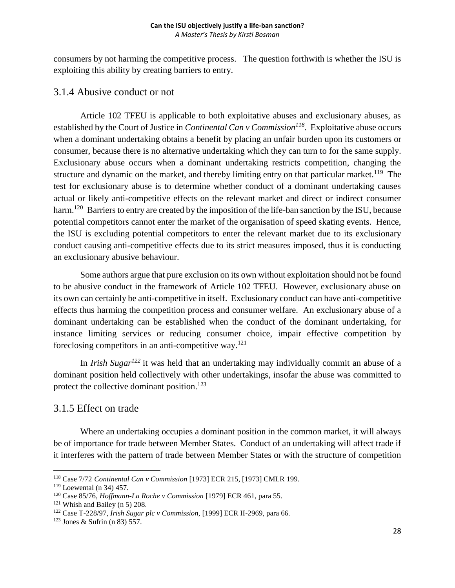consumers by not harming the competitive process. The question forthwith is whether the ISU is exploiting this ability by creating barriers to entry.

## <span id="page-28-0"></span>3.1.4 Abusive conduct or not

Article 102 TFEU is applicable to both exploitative abuses and exclusionary abuses, as established by the Court of Justice in *Continental Can v Commission<sup>118</sup> .* Exploitative abuse occurs when a dominant undertaking obtains a benefit by placing an unfair burden upon its customers or consumer, because there is no alternative undertaking which they can turn to for the same supply. Exclusionary abuse occurs when a dominant undertaking restricts competition, changing the structure and dynamic on the market, and thereby limiting entry on that particular market.<sup>119</sup> The test for exclusionary abuse is to determine whether conduct of a dominant undertaking causes actual or likely anti-competitive effects on the relevant market and direct or indirect consumer harm.<sup>120</sup> Barriers to entry are created by the imposition of the life-ban sanction by the ISU, because potential competitors cannot enter the market of the organisation of speed skating events. Hence, the ISU is excluding potential competitors to enter the relevant market due to its exclusionary conduct causing anti-competitive effects due to its strict measures imposed, thus it is conducting an exclusionary abusive behaviour.

Some authors argue that pure exclusion on its own without exploitation should not be found to be abusive conduct in the framework of Article 102 TFEU. However, exclusionary abuse on its own can certainly be anti-competitive in itself. Exclusionary conduct can have anti-competitive effects thus harming the competition process and consumer welfare. An exclusionary abuse of a dominant undertaking can be established when the conduct of the dominant undertaking, for instance limiting services or reducing consumer choice, impair effective competition by foreclosing competitors in an anti-competitive way.<sup>121</sup>

In *Irish Sugar<sup>122</sup>* it was held that an undertaking may individually commit an abuse of a dominant position held collectively with other undertakings, insofar the abuse was committed to protect the collective dominant position.<sup>123</sup>

## <span id="page-28-1"></span>3.1.5 Effect on trade

Where an undertaking occupies a dominant position in the common market, it will always be of importance for trade between Member States. Conduct of an undertaking will affect trade if it interferes with the pattern of trade between Member States or with the structure of competition

<sup>118</sup> Case 7/72 *Continental Can v Commission* [1973] ECR 215, [1973] CMLR 199.

<sup>119</sup> Loewental (n 34) 457.

<sup>120</sup> Case 85/76, *Hoffmann-La Roche v Commission* [1979] ECR 461, para 55.

<sup>121</sup> Whish and Bailey (n 5) 208.

<sup>122</sup> Case T-228/97, *Irish Sugar plc v Commission*, [1999] ECR II-2969, para 66.

<sup>123</sup> Jones & Sufrin (n 83) 557.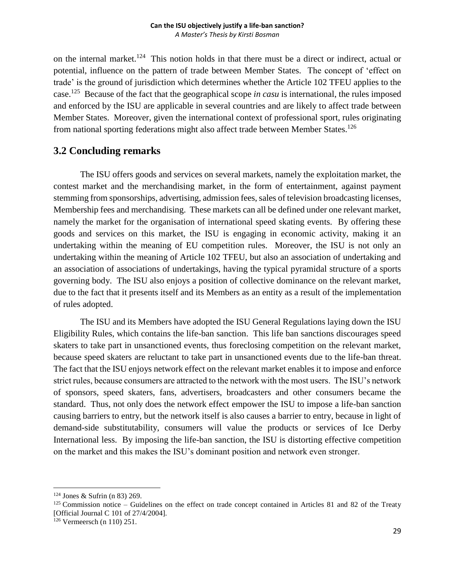on the internal market.<sup>124</sup> This notion holds in that there must be a direct or indirect, actual or potential, influence on the pattern of trade between Member States. The concept of 'effect on trade' is the ground of jurisdiction which determines whether the Article 102 TFEU applies to the case.<sup>125</sup> Because of the fact that the geographical scope *in casu* is international, the rules imposed and enforced by the ISU are applicable in several countries and are likely to affect trade between Member States. Moreover, given the international context of professional sport, rules originating from national sporting federations might also affect trade between Member States.<sup>126</sup>

## <span id="page-29-0"></span>**3.2 Concluding remarks**

The ISU offers goods and services on several markets, namely the exploitation market, the contest market and the merchandising market, in the form of entertainment, against payment stemming from sponsorships, advertising, admission fees, sales of television broadcasting licenses, Membership fees and merchandising. These markets can all be defined under one relevant market, namely the market for the organisation of international speed skating events. By offering these goods and services on this market, the ISU is engaging in economic activity, making it an undertaking within the meaning of EU competition rules. Moreover, the ISU is not only an undertaking within the meaning of Article 102 TFEU, but also an association of undertaking and an association of associations of undertakings, having the typical pyramidal structure of a sports governing body. The ISU also enjoys a position of collective dominance on the relevant market, due to the fact that it presents itself and its Members as an entity as a result of the implementation of rules adopted.

The ISU and its Members have adopted the ISU General Regulations laying down the ISU Eligibility Rules, which contains the life-ban sanction. This life ban sanctions discourages speed skaters to take part in unsanctioned events, thus foreclosing competition on the relevant market, because speed skaters are reluctant to take part in unsanctioned events due to the life-ban threat. The fact that the ISU enjoys network effect on the relevant market enables it to impose and enforce strict rules, because consumers are attracted to the network with the most users. The ISU's network of sponsors, speed skaters, fans, advertisers, broadcasters and other consumers became the standard. Thus, not only does the network effect empower the ISU to impose a life-ban sanction causing barriers to entry, but the network itself is also causes a barrier to entry, because in light of demand-side substitutability, consumers will value the products or services of Ice Derby International less. By imposing the life-ban sanction, the ISU is distorting effective competition on the market and this makes the ISU's dominant position and network even stronger.

 $\overline{a}$  $124$  Jones & Sufrin (n 83) 269.

<sup>&</sup>lt;sup>125</sup> Commission notice – Guidelines on the effect on trade concept contained in Articles 81 and 82 of the Treaty [Official Journal C 101 of 27/4/2004].

<sup>126</sup> Vermeersch (n 110) 251.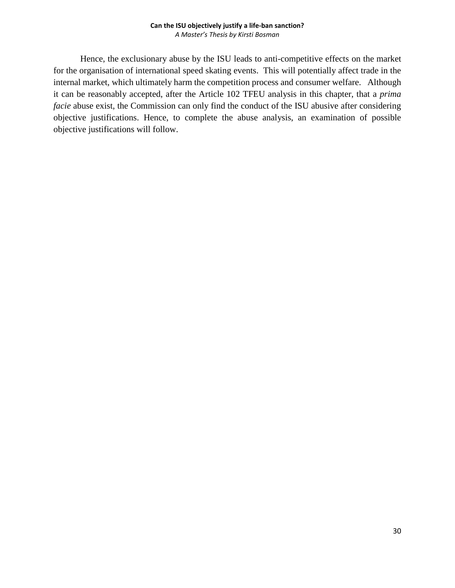Hence, the exclusionary abuse by the ISU leads to anti-competitive effects on the market for the organisation of international speed skating events. This will potentially affect trade in the internal market, which ultimately harm the competition process and consumer welfare. Although it can be reasonably accepted, after the Article 102 TFEU analysis in this chapter, that a *prima facie* abuse exist, the Commission can only find the conduct of the ISU abusive after considering objective justifications. Hence, to complete the abuse analysis, an examination of possible objective justifications will follow.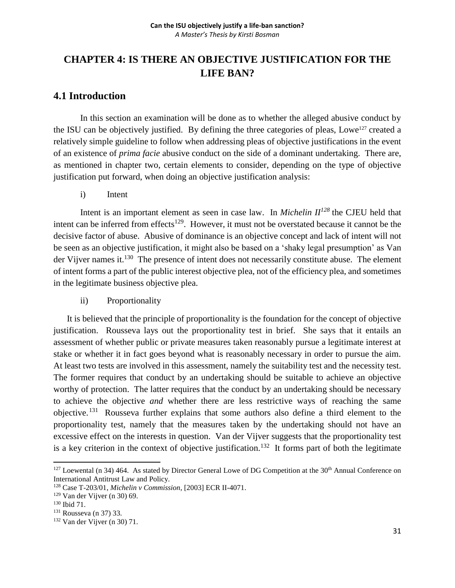# <span id="page-31-0"></span>**CHAPTER 4: IS THERE AN OBJECTIVE JUSTIFICATION FOR THE LIFE BAN?**

## <span id="page-31-1"></span>**4.1 Introduction**

In this section an examination will be done as to whether the alleged abusive conduct by the ISU can be objectively justified. By defining the three categories of pleas, Lowe<sup>127</sup> created a relatively simple guideline to follow when addressing pleas of objective justifications in the event of an existence of *prima facie* abusive conduct on the side of a dominant undertaking. There are, as mentioned in chapter two, certain elements to consider, depending on the type of objective justification put forward, when doing an objective justification analysis:

i) Intent

Intent is an important element as seen in case law. In *Michelin II<sup>128</sup>* the CJEU held that intent can be inferred from effects<sup>129</sup>. However, it must not be overstated because it cannot be the decisive factor of abuse. Abusive of dominance is an objective concept and lack of intent will not be seen as an objective justification, it might also be based on a 'shaky legal presumption' as Van der Vijver names it.<sup>130</sup> The presence of intent does not necessarily constitute abuse. The element of intent forms a part of the public interest objective plea, not of the efficiency plea, and sometimes in the legitimate business objective plea.

ii) Proportionality

It is believed that the principle of proportionality is the foundation for the concept of objective justification. Rousseva lays out the proportionality test in brief. She says that it entails an assessment of whether public or private measures taken reasonably pursue a legitimate interest at stake or whether it in fact goes beyond what is reasonably necessary in order to pursue the aim. At least two tests are involved in this assessment, namely the suitability test and the necessity test. The former requires that conduct by an undertaking should be suitable to achieve an objective worthy of protection. The latter requires that the conduct by an undertaking should be necessary to achieve the objective *and* whether there are less restrictive ways of reaching the same objective.<sup>131</sup> Rousseva further explains that some authors also define a third element to the proportionality test, namely that the measures taken by the undertaking should not have an excessive effect on the interests in question. Van der Vijver suggests that the proportionality test is a key criterion in the context of objective justification.<sup>132</sup> It forms part of both the legitimate

 $\overline{\phantom{a}}$  $127$  Loewental (n 34) 464. As stated by Director General Lowe of DG Competition at the  $30<sup>th</sup>$  Annual Conference on International Antitrust Law and Policy.

<sup>128</sup> Case T-203/01, *Michelin v Commission*, [2003] ECR II-4071.

<sup>129</sup> Van der Vijver (n 30) 69.

<sup>130</sup> Ibid 71.

<sup>131</sup> Rousseva (n 37) 33.

<sup>132</sup> Van der Vijver (n 30) 71.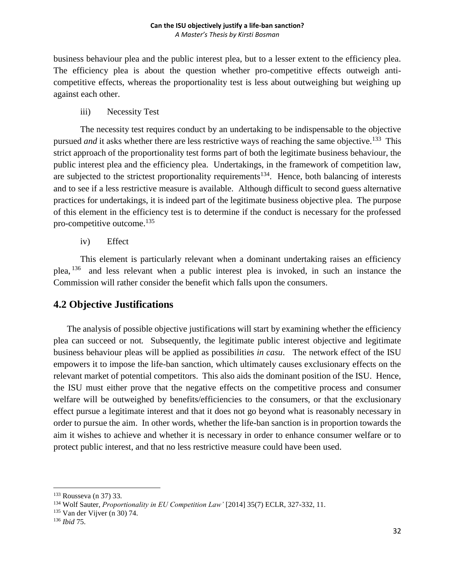business behaviour plea and the public interest plea, but to a lesser extent to the efficiency plea. The efficiency plea is about the question whether pro-competitive effects outweigh anticompetitive effects, whereas the proportionality test is less about outweighing but weighing up against each other.

iii) Necessity Test

The necessity test requires conduct by an undertaking to be indispensable to the objective pursued *and* it asks whether there are less restrictive ways of reaching the same objective.<sup>133</sup> This strict approach of the proportionality test forms part of both the legitimate business behaviour, the public interest plea and the efficiency plea. Undertakings, in the framework of competition law, are subjected to the strictest proportionality requirements<sup>134</sup>. Hence, both balancing of interests and to see if a less restrictive measure is available. Although difficult to second guess alternative practices for undertakings, it is indeed part of the legitimate business objective plea. The purpose of this element in the efficiency test is to determine if the conduct is necessary for the professed pro-competitive outcome.<sup>135</sup>

iv) Effect

This element is particularly relevant when a dominant undertaking raises an efficiency plea, <sup>136</sup> and less relevant when a public interest plea is invoked, in such an instance the Commission will rather consider the benefit which falls upon the consumers.

## <span id="page-32-0"></span>**4.2 Objective Justifications**

The analysis of possible objective justifications will start by examining whether the efficiency plea can succeed or not*.* Subsequently, the legitimate public interest objective and legitimate business behaviour pleas will be applied as possibilities *in casu*. The network effect of the ISU empowers it to impose the life-ban sanction, which ultimately causes exclusionary effects on the relevant market of potential competitors. This also aids the dominant position of the ISU. Hence, the ISU must either prove that the negative effects on the competitive process and consumer welfare will be outweighed by benefits/efficiencies to the consumers, or that the exclusionary effect pursue a legitimate interest and that it does not go beyond what is reasonably necessary in order to pursue the aim. In other words, whether the life-ban sanction is in proportion towards the aim it wishes to achieve and whether it is necessary in order to enhance consumer welfare or to protect public interest, and that no less restrictive measure could have been used.

<sup>133</sup> Rousseva (n 37) 33.

<sup>134</sup> Wolf Sauter, *Proportionality in EU Competition Law'* [2014] 35(7) ECLR, 327-332, 11.

<sup>135</sup> Van der Vijver (n 30) 74.

<sup>136</sup> *Ibid* 75.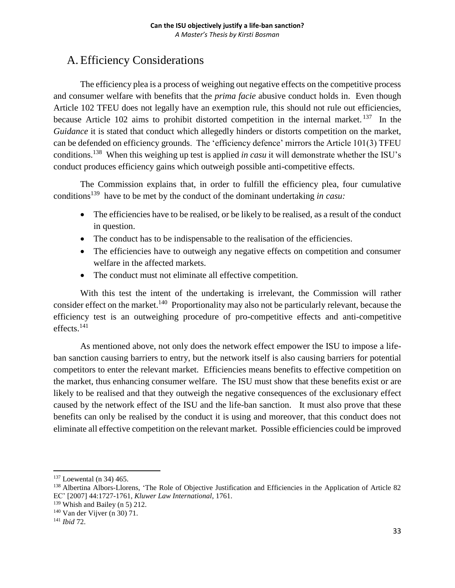# <span id="page-33-0"></span>A. Efficiency Considerations

The efficiency plea is a process of weighing out negative effects on the competitive process and consumer welfare with benefits that the *prima facie* abusive conduct holds in. Even though Article 102 TFEU does not legally have an exemption rule, this should not rule out efficiencies, because Article 102 aims to prohibit distorted competition in the internal market.<sup>137</sup> In the *Guidance* it is stated that conduct which allegedly hinders or distorts competition on the market, can be defended on efficiency grounds. The 'efficiency defence' mirrors the Article 101(3) TFEU conditions.<sup>138</sup> When this weighing up test is applied *in casu* it will demonstrate whether the ISU's conduct produces efficiency gains which outweigh possible anti-competitive effects.

The Commission explains that, in order to fulfill the efficiency plea, four cumulative conditions<sup>139</sup> have to be met by the conduct of the dominant undertaking *in casu*:

- The efficiencies have to be realised, or be likely to be realised, as a result of the conduct in question.
- The conduct has to be indispensable to the realisation of the efficiencies.
- The efficiencies have to outweigh any negative effects on competition and consumer welfare in the affected markets.
- The conduct must not eliminate all effective competition.

With this test the intent of the undertaking is irrelevant, the Commission will rather consider effect on the market.<sup>140</sup> Proportionality may also not be particularly relevant, because the efficiency test is an outweighing procedure of pro-competitive effects and anti-competitive effects.<sup>141</sup>

As mentioned above, not only does the network effect empower the ISU to impose a lifeban sanction causing barriers to entry, but the network itself is also causing barriers for potential competitors to enter the relevant market. Efficiencies means benefits to effective competition on the market, thus enhancing consumer welfare. The ISU must show that these benefits exist or are likely to be realised and that they outweigh the negative consequences of the exclusionary effect caused by the network effect of the ISU and the life-ban sanction. It must also prove that these benefits can only be realised by the conduct it is using and moreover, that this conduct does not eliminate all effective competition on the relevant market. Possible efficiencies could be improved

<sup>&</sup>lt;sup>137</sup> Loewental (n 34) 465.

<sup>138</sup> Albertina Albors-Llorens, 'The Role of Objective Justification and Efficiencies in the Application of Article 82 EC' [2007] 44:1727-1761, *Kluwer Law International*, 1761.

<sup>139</sup> Whish and Bailey (n 5) 212.

<sup>140</sup> Van der Vijver (n 30) 71.

<sup>141</sup> *Ibid* 72.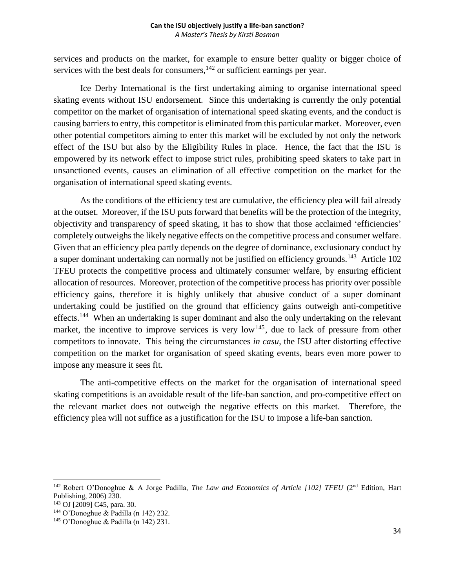services and products on the market, for example to ensure better quality or bigger choice of services with the best deals for consumers, $142$  or sufficient earnings per year.

Ice Derby International is the first undertaking aiming to organise international speed skating events without ISU endorsement. Since this undertaking is currently the only potential competitor on the market of organisation of international speed skating events, and the conduct is causing barriers to entry, this competitor is eliminated from this particular market. Moreover, even other potential competitors aiming to enter this market will be excluded by not only the network effect of the ISU but also by the Eligibility Rules in place. Hence, the fact that the ISU is empowered by its network effect to impose strict rules, prohibiting speed skaters to take part in unsanctioned events, causes an elimination of all effective competition on the market for the organisation of international speed skating events.

As the conditions of the efficiency test are cumulative, the efficiency plea will fail already at the outset. Moreover, if the ISU puts forward that benefits will be the protection of the integrity, objectivity and transparency of speed skating, it has to show that those acclaimed 'efficiencies' completely outweighs the likely negative effects on the competitive process and consumer welfare. Given that an efficiency plea partly depends on the degree of dominance, exclusionary conduct by a super dominant undertaking can normally not be justified on efficiency grounds.<sup>143</sup> Article 102 TFEU protects the competitive process and ultimately consumer welfare, by ensuring efficient allocation of resources. Moreover, protection of the competitive process has priority over possible efficiency gains, therefore it is highly unlikely that abusive conduct of a super dominant undertaking could be justified on the ground that efficiency gains outweigh anti-competitive effects.<sup>144</sup> When an undertaking is super dominant and also the only undertaking on the relevant market, the incentive to improve services is very low<sup>145</sup>, due to lack of pressure from other competitors to innovate. This being the circumstances *in casu*, the ISU after distorting effective competition on the market for organisation of speed skating events, bears even more power to impose any measure it sees fit.

The anti-competitive effects on the market for the organisation of international speed skating competitions is an avoidable result of the life-ban sanction, and pro-competitive effect on the relevant market does not outweigh the negative effects on this market. Therefore, the efficiency plea will not suffice as a justification for the ISU to impose a life-ban sanction.

l

<sup>142</sup> Robert O'Donoghue & A Jorge Padilla, *The Law and Economics of Article [102] TFEU* (2nd Edition, Hart Publishing, 2006) 230.

<sup>143</sup> OJ [2009] C45, para. 30.

<sup>144</sup> O'Donoghue & Padilla (n 142) 232.

<sup>145</sup> O'Donoghue & Padilla (n 142) 231.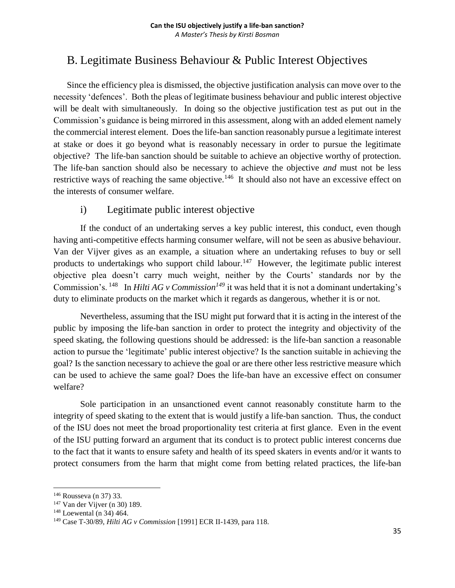# <span id="page-35-0"></span>B. Legitimate Business Behaviour & Public Interest Objectives

Since the efficiency plea is dismissed, the objective justification analysis can move over to the necessity 'defences'. Both the pleas of legitimate business behaviour and public interest objective will be dealt with simultaneously. In doing so the objective justification test as put out in the Commission's guidance is being mirrored in this assessment, along with an added element namely the commercial interest element. Does the life-ban sanction reasonably pursue a legitimate interest at stake or does it go beyond what is reasonably necessary in order to pursue the legitimate objective? The life-ban sanction should be suitable to achieve an objective worthy of protection. The life-ban sanction should also be necessary to achieve the objective *and* must not be less restrictive ways of reaching the same objective.<sup>146</sup> It should also not have an excessive effect on the interests of consumer welfare.

## i) Legitimate public interest objective

If the conduct of an undertaking serves a key public interest, this conduct, even though having anti-competitive effects harming consumer welfare, will not be seen as abusive behaviour. Van der Vijver gives as an example, a situation where an undertaking refuses to buy or sell products to undertakings who support child labour.<sup>147</sup> However, the legitimate public interest objective plea doesn't carry much weight, neither by the Courts' standards nor by the Commission's. <sup>148</sup> In *Hilti AG v Commission*<sup>149</sup> it was held that it is not a dominant undertaking's duty to eliminate products on the market which it regards as dangerous, whether it is or not.

Nevertheless, assuming that the ISU might put forward that it is acting in the interest of the public by imposing the life-ban sanction in order to protect the integrity and objectivity of the speed skating, the following questions should be addressed: is the life-ban sanction a reasonable action to pursue the 'legitimate' public interest objective? Is the sanction suitable in achieving the goal? Is the sanction necessary to achieve the goal or are there other less restrictive measure which can be used to achieve the same goal? Does the life-ban have an excessive effect on consumer welfare?

Sole participation in an unsanctioned event cannot reasonably constitute harm to the integrity of speed skating to the extent that is would justify a life-ban sanction. Thus, the conduct of the ISU does not meet the broad proportionality test criteria at first glance. Even in the event of the ISU putting forward an argument that its conduct is to protect public interest concerns due to the fact that it wants to ensure safety and health of its speed skaters in events and/or it wants to protect consumers from the harm that might come from betting related practices, the life-ban

<sup>146</sup> Rousseva (n 37) 33.

<sup>147</sup> Van der Vijver (n 30) 189.

<sup>148</sup> Loewental (n 34) 464.

<sup>149</sup> Case T-30/89, *Hilti AG v Commission* [1991] ECR II-1439, para 118.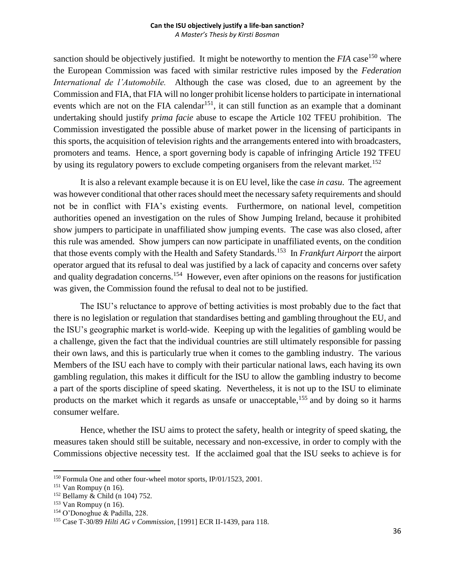sanction should be objectively justified. It might be noteworthy to mention the *FIA* case<sup>150</sup> where the European Commission was faced with similar restrictive rules imposed by the *Federation International de l'Automobile.* Although the case was closed, due to an agreement by the Commission and FIA, that FIA will no longer prohibit license holders to participate in international events which are not on the FIA calendar<sup>151</sup>, it can still function as an example that a dominant undertaking should justify *prima facie* abuse to escape the Article 102 TFEU prohibition. The Commission investigated the possible abuse of market power in the licensing of participants in this sports, the acquisition of television rights and the arrangements entered into with broadcasters, promoters and teams. Hence, a sport governing body is capable of infringing Article 192 TFEU by using its regulatory powers to exclude competing organisers from the relevant market.<sup>152</sup>

It is also a relevant example because it is on EU level, like the case *in casu*. The agreement was however conditional that other races should meet the necessary safety requirements and should not be in conflict with FIA's existing events. Furthermore, on national level, competition authorities opened an investigation on the rules of Show Jumping Ireland, because it prohibited show jumpers to participate in unaffiliated show jumping events. The case was also closed, after this rule was amended. Show jumpers can now participate in unaffiliated events, on the condition that those events comply with the Health and Safety Standards. 153 In *Frankfurt Airport* the airport operator argued that its refusal to deal was justified by a lack of capacity and concerns over safety and quality degradation concerns.<sup>154</sup> However, even after opinions on the reasons for justification was given, the Commission found the refusal to deal not to be justified.

The ISU's reluctance to approve of betting activities is most probably due to the fact that there is no legislation or regulation that standardises betting and gambling throughout the EU, and the ISU's geographic market is world-wide. Keeping up with the legalities of gambling would be a challenge, given the fact that the individual countries are still ultimately responsible for passing their own laws, and this is particularly true when it comes to the gambling industry. The various Members of the ISU each have to comply with their particular national laws, each having its own gambling regulation, this makes it difficult for the ISU to allow the gambling industry to become a part of the sports discipline of speed skating. Nevertheless, it is not up to the ISU to eliminate products on the market which it regards as unsafe or unacceptable,<sup>155</sup> and by doing so it harms consumer welfare.

Hence, whether the ISU aims to protect the safety, health or integrity of speed skating, the measures taken should still be suitable, necessary and non-excessive, in order to comply with the Commissions objective necessity test. If the acclaimed goal that the ISU seeks to achieve is for

<sup>150</sup> Formula One and other four-wheel motor sports, IP/01/1523, 2001.

<sup>151</sup> Van Rompuy (n 16).

<sup>152</sup> Bellamy & Child (n 104) 752.

 $153$  Van Rompuy (n 16).

<sup>154</sup> O'Donoghue & Padilla, 228.

<sup>155</sup> Case T-30/89 *Hilti AG v Commission*, [1991] ECR II-1439, para 118.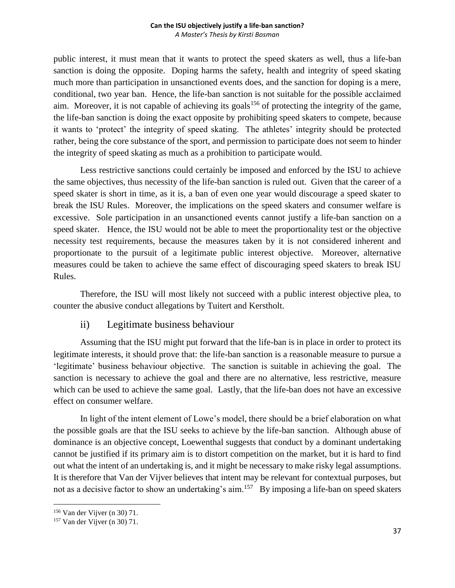public interest, it must mean that it wants to protect the speed skaters as well, thus a life-ban sanction is doing the opposite. Doping harms the safety, health and integrity of speed skating much more than participation in unsanctioned events does, and the sanction for doping is a mere, conditional, two year ban. Hence, the life-ban sanction is not suitable for the possible acclaimed aim. Moreover, it is not capable of achieving its goals<sup>156</sup> of protecting the integrity of the game, the life-ban sanction is doing the exact opposite by prohibiting speed skaters to compete, because it wants to 'protect' the integrity of speed skating. The athletes' integrity should be protected rather, being the core substance of the sport, and permission to participate does not seem to hinder the integrity of speed skating as much as a prohibition to participate would.

Less restrictive sanctions could certainly be imposed and enforced by the ISU to achieve the same objectives, thus necessity of the life-ban sanction is ruled out. Given that the career of a speed skater is short in time, as it is, a ban of even one year would discourage a speed skater to break the ISU Rules. Moreover, the implications on the speed skaters and consumer welfare is excessive. Sole participation in an unsanctioned events cannot justify a life-ban sanction on a speed skater. Hence, the ISU would not be able to meet the proportionality test or the objective necessity test requirements, because the measures taken by it is not considered inherent and proportionate to the pursuit of a legitimate public interest objective. Moreover, alternative measures could be taken to achieve the same effect of discouraging speed skaters to break ISU Rules.

Therefore, the ISU will most likely not succeed with a public interest objective plea, to counter the abusive conduct allegations by Tuitert and Kerstholt.

## ii) Legitimate business behaviour

Assuming that the ISU might put forward that the life-ban is in place in order to protect its legitimate interests, it should prove that: the life-ban sanction is a reasonable measure to pursue a 'legitimate' business behaviour objective. The sanction is suitable in achieving the goal. The sanction is necessary to achieve the goal and there are no alternative, less restrictive, measure which can be used to achieve the same goal. Lastly, that the life-ban does not have an excessive effect on consumer welfare.

In light of the intent element of Lowe's model, there should be a brief elaboration on what the possible goals are that the ISU seeks to achieve by the life-ban sanction. Although abuse of dominance is an objective concept, Loewenthal suggests that conduct by a dominant undertaking cannot be justified if its primary aim is to distort competition on the market, but it is hard to find out what the intent of an undertaking is, and it might be necessary to make risky legal assumptions. It is therefore that Van der Vijver believes that intent may be relevant for contextual purposes, but not as a decisive factor to show an undertaking's aim.<sup>157</sup> By imposing a life-ban on speed skaters

<sup>156</sup> Van der Vijver (n 30) 71.

<sup>157</sup> Van der Vijver (n 30) 71.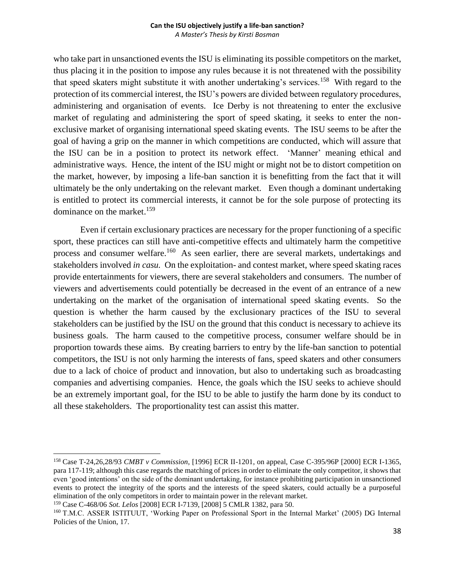who take part in unsanctioned events the ISU is eliminating its possible competitors on the market, thus placing it in the position to impose any rules because it is not threatened with the possibility that speed skaters might substitute it with another undertaking's services.<sup>158</sup> With regard to the protection of its commercial interest, the ISU's powers are divided between regulatory procedures, administering and organisation of events. Ice Derby is not threatening to enter the exclusive market of regulating and administering the sport of speed skating, it seeks to enter the nonexclusive market of organising international speed skating events. The ISU seems to be after the goal of having a grip on the manner in which competitions are conducted, which will assure that the ISU can be in a position to protect its network effect. 'Manner' meaning ethical and administrative ways. Hence, the intent of the ISU might or might not be to distort competition on the market, however, by imposing a life-ban sanction it is benefitting from the fact that it will ultimately be the only undertaking on the relevant market. Even though a dominant undertaking is entitled to protect its commercial interests, it cannot be for the sole purpose of protecting its dominance on the market.<sup>159</sup>

Even if certain exclusionary practices are necessary for the proper functioning of a specific sport, these practices can still have anti-competitive effects and ultimately harm the competitive process and consumer welfare.<sup>160</sup> As seen earlier, there are several markets, undertakings and stakeholders involved *in casu.* On the exploitation- and contest market, where speed skating races provide entertainments for viewers, there are several stakeholders and consumers. The number of viewers and advertisements could potentially be decreased in the event of an entrance of a new undertaking on the market of the organisation of international speed skating events. So the question is whether the harm caused by the exclusionary practices of the ISU to several stakeholders can be justified by the ISU on the ground that this conduct is necessary to achieve its business goals. The harm caused to the competitive process, consumer welfare should be in proportion towards these aims. By creating barriers to entry by the life-ban sanction to potential competitors, the ISU is not only harming the interests of fans, speed skaters and other consumers due to a lack of choice of product and innovation, but also to undertaking such as broadcasting companies and advertising companies. Hence, the goals which the ISU seeks to achieve should be an extremely important goal, for the ISU to be able to justify the harm done by its conduct to all these stakeholders. The proportionality test can assist this matter.

<sup>158</sup> Case T-24,26,28/93 *CMBT v Commission*, [1996] ECR II-1201, on appeal, Case C-395/96P [2000] ECR I-1365, para 117-119; although this case regards the matching of prices in order to eliminate the only competitor, it shows that even 'good intentions' on the side of the dominant undertaking, for instance prohibiting participation in unsanctioned events to protect the integrity of the sports and the interests of the speed skaters, could actually be a purposeful elimination of the only competitors in order to maintain power in the relevant market.

<sup>159</sup> Case C-468/06 *Sot. Lelos* [2008] ECR I-7139, [2008] 5 CMLR 1382, para 50.

<sup>160</sup> T.M.C. ASSER ISTITUUT, 'Working Paper on Professional Sport in the Internal Market' (2005) DG Internal Policies of the Union, 17.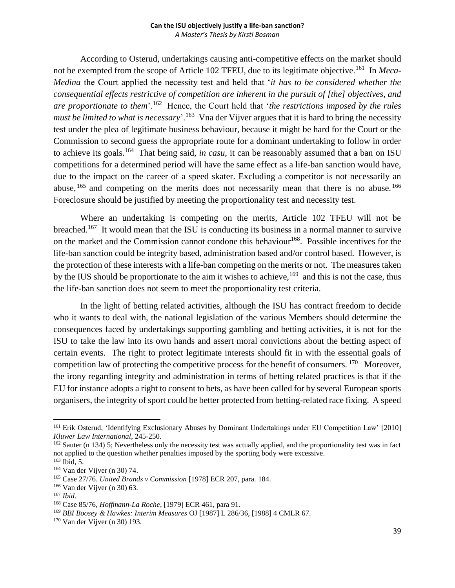According to Osterud, undertakings causing anti-competitive effects on the market should not be exempted from the scope of Article 102 TFEU, due to its legitimate objective.<sup>161</sup> In *Meca*-*Medina* the Court applied the necessity test and held that '*it has to be considered whether the consequential effects restrictive of competition are inherent in the pursuit of [the] objectives, and are proportionate to them*'.<sup>162</sup> Hence, the Court held that '*the restrictions imposed by the rules*  must be limited to what is necessary<sup>'</sup>.<sup>163</sup> Vna der Vijver argues that it is hard to bring the necessity test under the plea of legitimate business behaviour, because it might be hard for the Court or the Commission to second guess the appropriate route for a dominant undertaking to follow in order to achieve its goals.<sup>164</sup> That being said, *in casu*, it can be reasonably assumed that a ban on ISU competitions for a determined period will have the same effect as a life-ban sanction would have, due to the impact on the career of a speed skater. Excluding a competitor is not necessarily an abuse,  $165$  and competing on the merits does not necessarily mean that there is no abuse.  $166$ Foreclosure should be justified by meeting the proportionality test and necessity test.

Where an undertaking is competing on the merits, Article 102 TFEU will not be breached.<sup>167</sup> It would mean that the ISU is conducting its business in a normal manner to survive on the market and the Commission cannot condone this behaviour<sup>168</sup>. Possible incentives for the life-ban sanction could be integrity based, administration based and/or control based. However, is the protection of these interests with a life-ban competing on the merits or not. The measures taken by the IUS should be proportionate to the aim it wishes to achieve,  $169$  and this is not the case, thus the life-ban sanction does not seem to meet the proportionality test criteria.

In the light of betting related activities, although the ISU has contract freedom to decide who it wants to deal with, the national legislation of the various Members should determine the consequences faced by undertakings supporting gambling and betting activities, it is not for the ISU to take the law into its own hands and assert moral convictions about the betting aspect of certain events. The right to protect legitimate interests should fit in with the essential goals of competition law of protecting the competitive process for the benefit of consumers.  $170$  Moreover, the irony regarding integrity and administration in terms of betting related practices is that if the EU for instance adopts a right to consent to bets, as have been called for by several European sports organisers, the integrity of sport could be better protected from betting-related race fixing. A speed

<sup>&</sup>lt;sup>161</sup> Erik Osterud, 'Identifying Exclusionary Abuses by Dominant Undertakings under EU Competition Law' [2010] *Kluwer Law International*, 245-250.

 $162$  Sauter (n 134) 5; Nevertheless only the necessity test was actually applied, and the proportionality test was in fact not applied to the question whether penalties imposed by the sporting body were excessive.

<sup>163</sup> Ibid, 5.

<sup>164</sup> Van der Vijver (n 30) 74.

<sup>165</sup> Case 27/76. *United Brands v Commission* [1978] ECR 207, para. 184.

<sup>166</sup> Van der Vijver (n 30) 63.

<sup>167</sup> *Ibid.*

<sup>168</sup> Case 85/76, *Hoffmann-La Roche*, [1979] ECR 461, para 91.

<sup>169</sup> *BBI Boosey & Hawkes: Interim Measures* OJ [1987] L 286/36, [1988] 4 CMLR 67.

<sup>170</sup> Van der Vijver (n 30) 193.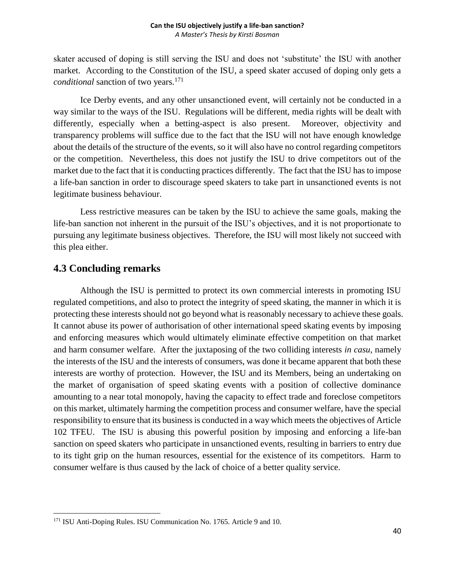skater accused of doping is still serving the ISU and does not 'substitute' the ISU with another market. According to the Constitution of the ISU, a speed skater accused of doping only gets a *conditional* sanction of two years.<sup>171</sup>

Ice Derby events, and any other unsanctioned event, will certainly not be conducted in a way similar to the ways of the ISU. Regulations will be different, media rights will be dealt with differently, especially when a betting-aspect is also present. Moreover, objectivity and transparency problems will suffice due to the fact that the ISU will not have enough knowledge about the details of the structure of the events, so it will also have no control regarding competitors or the competition. Nevertheless, this does not justify the ISU to drive competitors out of the market due to the fact that it is conducting practices differently. The fact that the ISU has to impose a life-ban sanction in order to discourage speed skaters to take part in unsanctioned events is not legitimate business behaviour.

Less restrictive measures can be taken by the ISU to achieve the same goals, making the life-ban sanction not inherent in the pursuit of the ISU's objectives, and it is not proportionate to pursuing any legitimate business objectives. Therefore, the ISU will most likely not succeed with this plea either.

## <span id="page-40-0"></span>**4.3 Concluding remarks**

Although the ISU is permitted to protect its own commercial interests in promoting ISU regulated competitions, and also to protect the integrity of speed skating, the manner in which it is protecting these interests should not go beyond what is reasonably necessary to achieve these goals. It cannot abuse its power of authorisation of other international speed skating events by imposing and enforcing measures which would ultimately eliminate effective competition on that market and harm consumer welfare. After the juxtaposing of the two colliding interests *in casu,* namely the interests of the ISU and the interests of consumers, was done it became apparent that both these interests are worthy of protection. However, the ISU and its Members, being an undertaking on the market of organisation of speed skating events with a position of collective dominance amounting to a near total monopoly, having the capacity to effect trade and foreclose competitors on this market, ultimately harming the competition process and consumer welfare, have the special responsibility to ensure that its business is conducted in a way which meets the objectives of Article 102 TFEU. The ISU is abusing this powerful position by imposing and enforcing a life-ban sanction on speed skaters who participate in unsanctioned events, resulting in barriers to entry due to its tight grip on the human resources, essential for the existence of its competitors. Harm to consumer welfare is thus caused by the lack of choice of a better quality service.

 $\overline{\phantom{a}}$ <sup>171</sup> ISU Anti-Doping Rules. ISU Communication No. 1765. Article 9 and 10.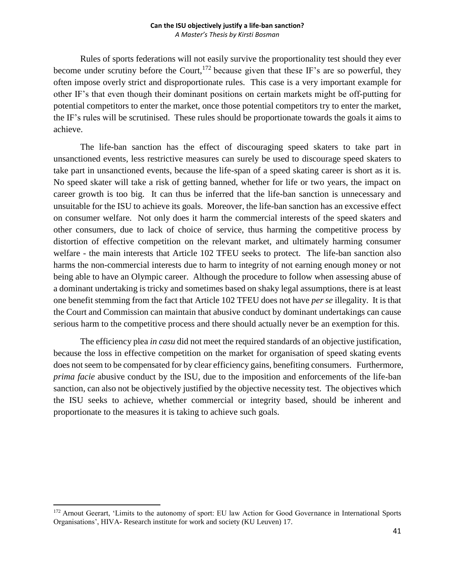Rules of sports federations will not easily survive the proportionality test should they ever become under scrutiny before the Court,  $172$  because given that these IF's are so powerful, they often impose overly strict and disproportionate rules. This case is a very important example for other IF's that even though their dominant positions on certain markets might be off-putting for potential competitors to enter the market, once those potential competitors try to enter the market, the IF's rules will be scrutinised. These rules should be proportionate towards the goals it aims to achieve.

The life-ban sanction has the effect of discouraging speed skaters to take part in unsanctioned events, less restrictive measures can surely be used to discourage speed skaters to take part in unsanctioned events, because the life-span of a speed skating career is short as it is. No speed skater will take a risk of getting banned, whether for life or two years, the impact on career growth is too big. It can thus be inferred that the life-ban sanction is unnecessary and unsuitable for the ISU to achieve its goals. Moreover, the life-ban sanction has an excessive effect on consumer welfare. Not only does it harm the commercial interests of the speed skaters and other consumers, due to lack of choice of service, thus harming the competitive process by distortion of effective competition on the relevant market, and ultimately harming consumer welfare - the main interests that Article 102 TFEU seeks to protect. The life-ban sanction also harms the non-commercial interests due to harm to integrity of not earning enough money or not being able to have an Olympic career. Although the procedure to follow when assessing abuse of a dominant undertaking is tricky and sometimes based on shaky legal assumptions, there is at least one benefit stemming from the fact that Article 102 TFEU does not have *per se* illegality. It is that the Court and Commission can maintain that abusive conduct by dominant undertakings can cause serious harm to the competitive process and there should actually never be an exemption for this.

The efficiency plea *in casu* did not meet the required standards of an objective justification, because the loss in effective competition on the market for organisation of speed skating events does not seem to be compensated for by clear efficiency gains, benefiting consumers. Furthermore, *prima facie* abusive conduct by the ISU, due to the imposition and enforcements of the life-ban sanction, can also not be objectively justified by the objective necessity test. The objectives which the ISU seeks to achieve, whether commercial or integrity based, should be inherent and proportionate to the measures it is taking to achieve such goals.

<sup>&</sup>lt;sup>172</sup> Arnout Geerart, 'Limits to the autonomy of sport: EU law Action for Good Governance in International Sports Organisations', HIVA- Research institute for work and society (KU Leuven) 17.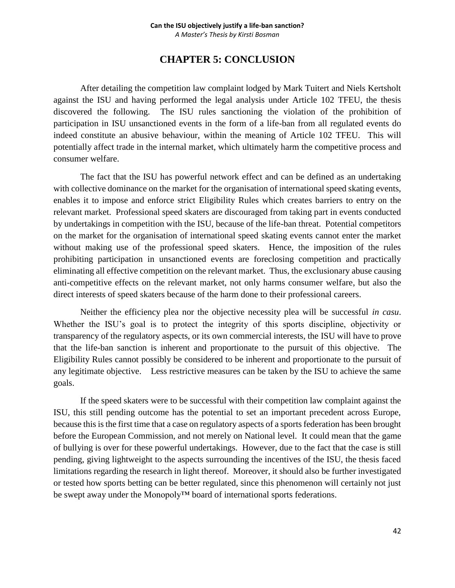## **CHAPTER 5: CONCLUSION**

<span id="page-42-0"></span>After detailing the competition law complaint lodged by Mark Tuitert and Niels Kertsholt against the ISU and having performed the legal analysis under Article 102 TFEU, the thesis discovered the following. The ISU rules sanctioning the violation of the prohibition of participation in ISU unsanctioned events in the form of a life-ban from all regulated events do indeed constitute an abusive behaviour, within the meaning of Article 102 TFEU. This will potentially affect trade in the internal market, which ultimately harm the competitive process and consumer welfare.

The fact that the ISU has powerful network effect and can be defined as an undertaking with collective dominance on the market for the organisation of international speed skating events, enables it to impose and enforce strict Eligibility Rules which creates barriers to entry on the relevant market. Professional speed skaters are discouraged from taking part in events conducted by undertakings in competition with the ISU, because of the life-ban threat. Potential competitors on the market for the organisation of international speed skating events cannot enter the market without making use of the professional speed skaters. Hence, the imposition of the rules prohibiting participation in unsanctioned events are foreclosing competition and practically eliminating all effective competition on the relevant market. Thus, the exclusionary abuse causing anti-competitive effects on the relevant market, not only harms consumer welfare, but also the direct interests of speed skaters because of the harm done to their professional careers.

Neither the efficiency plea nor the objective necessity plea will be successful *in casu*. Whether the ISU's goal is to protect the integrity of this sports discipline, objectivity or transparency of the regulatory aspects, or its own commercial interests, the ISU will have to prove that the life-ban sanction is inherent and proportionate to the pursuit of this objective. The Eligibility Rules cannot possibly be considered to be inherent and proportionate to the pursuit of any legitimate objective. Less restrictive measures can be taken by the ISU to achieve the same goals.

If the speed skaters were to be successful with their competition law complaint against the ISU, this still pending outcome has the potential to set an important precedent across Europe, because this is the first time that a case on regulatory aspects of a sports federation has been brought before the European Commission, and not merely on National level. It could mean that the game of bullying is over for these powerful undertakings. However, due to the fact that the case is still pending, giving lightweight to the aspects surrounding the incentives of the ISU, the thesis faced limitations regarding the research in light thereof. Moreover, it should also be further investigated or tested how sports betting can be better regulated, since this phenomenon will certainly not just be swept away under the Monopoly™ board of international sports federations.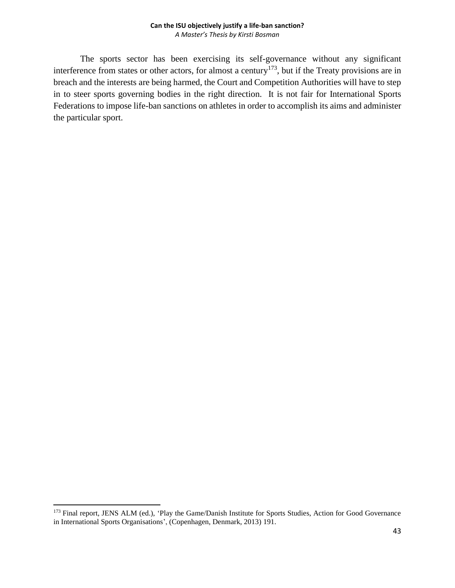The sports sector has been exercising its self-governance without any significant interference from states or other actors, for almost a century<sup>173</sup>, but if the Treaty provisions are in breach and the interests are being harmed, the Court and Competition Authorities will have to step in to steer sports governing bodies in the right direction. It is not fair for International Sports Federations to impose life-ban sanctions on athletes in order to accomplish its aims and administer the particular sport.

<sup>&</sup>lt;sup>173</sup> Final report, JENS ALM (ed.), 'Play the Game/Danish Institute for Sports Studies, Action for Good Governance in International Sports Organisations', (Copenhagen, Denmark, 2013) 191.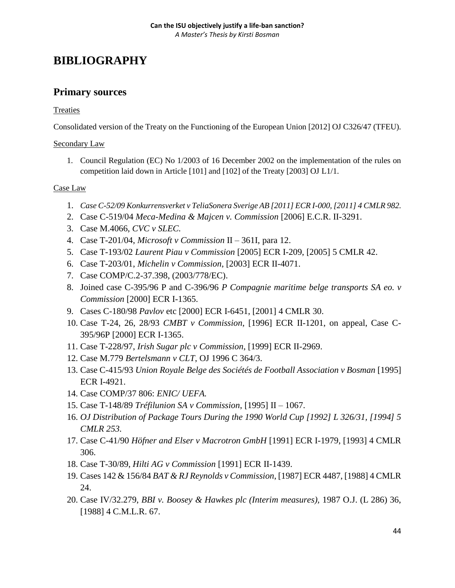# <span id="page-44-0"></span>**BIBLIOGRAPHY**

## **Primary sources**

### **Treaties**

Consolidated version of the Treaty on the Functioning of the European Union [2012] OJ C326/47 (TFEU).

### Secondary Law

1. Council Regulation (EC) No 1/2003 of 16 December 2002 on the implementation of the rules on competition laid down in Article [101] and [102] of the Treaty [2003] OJ L1/1.

### Case Law

- 1. *Case C-52/09 Konkurrensverket v TeliaSonera Sverige AB [2011] ECR I-000, [2011] 4 CMLR 982.*
- 2. Case C-519/04 *Meca-Medina & Majcen v. Commission* [2006] E.C.R. II-3291.
- 3. Case M.4066, *CVC v SLEC.*
- 4. Case T-201/04, *Microsoft v Commission* II 361I, para 12.
- 5. Case T-193/02 *Laurent Piau v Commission* [2005] ECR I-209, [2005] 5 CMLR 42.
- 6. Case T-203/01, *Michelin v Commission*, [2003] ECR II-4071.
- 7. Case COMP/C.2-37.398, (2003/778/EC).
- 8. Joined case C-395/96 P and C-396/96 *P Compagnie maritime belge transports SA eo. v Commission* [2000] ECR I-1365.
- 9. Cases C-180/98 *Pavlov* etc [2000] ECR I-6451, [2001] 4 CMLR 30.
- 10. Case T-24, 26, 28/93 *CMBT v Commission*, [1996] ECR II-1201, on appeal, Case C-395/96P [2000] ECR I-1365.
- 11. Case T-228/97, *Irish Sugar plc v Commission*, [1999] ECR II-2969.
- 12. Case M.779 *Bertelsmann v CLT*, OJ 1996 C 364/3.
- 13. Case C-415/93 *Union Royale Belge des Sociétés de Football Association v Bosman* [1995] ECR I-4921.
- 14. Case COMP/37 806: *ENIC/ UEFA.*
- 15. Case T-148/89 *Tréfilunion SA v Commission*, [1995] II 1067.
- 16. *OJ Distribution of Package Tours During the 1990 World Cup [1992] L 326/31, [1994] 5 CMLR 253.*
- 17. Case C-41/90 *Höfner and Elser v Macrotron GmbH* [1991] ECR I-1979, [1993] 4 CMLR 306.
- 18. Case T-30/89, *Hilti AG v Commission* [1991] ECR II-1439.
- 19. Cases 142 & 156/84 *BAT & RJ Reynolds v Commission*, [1987] ECR 4487, [1988] 4 CMLR 24.
- 20. Case IV/32.279, *BBI v. Boosey & Hawkes plc (Interim measures),* 1987 O.J. (L 286) 36, [1988] 4 C.M.L.R. 67.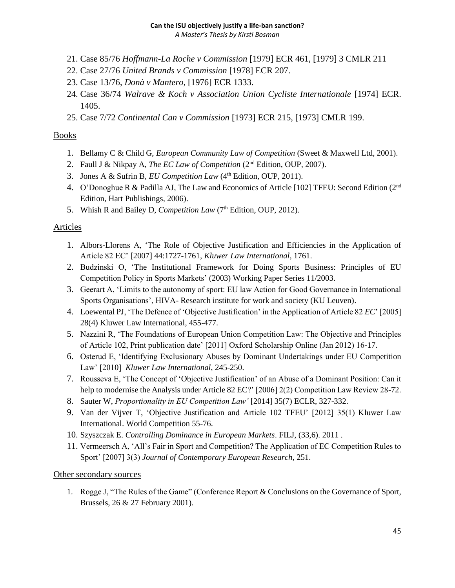*A Master's Thesis by Kirsti Bosman*

- 21. Case 85/76 *Hoffmann-La Roche v Commission* [1979] ECR 461, [1979] 3 CMLR 211
- 22. Case 27/76 *United Brands v Commission* [1978] ECR 207.
- 23. Case 13/76, *Donà v Mantero,* [1976] ECR 1333.
- 24. Case 36/74 *Walrave & Koch v Association Union Cycliste Internationale* [1974] ECR. 1405.
- 25. Case 7/72 *Continental Can v Commission* [1973] ECR 215, [1973] CMLR 199.

### Books

- 1. Bellamy C & Child G, *European Community Law of Competition* (Sweet & Maxwell Ltd, 2001).
- 2. Faull J & Nikpay A, *The EC Law of Competition* (2<sup>nd</sup> Edition, OUP, 2007).
- 3. Jones A & Sufrin B, *EU Competition Law* (4<sup>th</sup> Edition, OUP, 2011).
- 4. O'Donoghue R & Padilla AJ, The Law and Economics of Article [102] TFEU: Second Edition ( $2<sup>nd</sup>$ Edition, Hart Publishings, 2006).
- 5. Whish R and Bailey D, *Competition Law* (7<sup>th</sup> Edition, OUP, 2012).

## Articles

- 1. Albors-Llorens A, 'The Role of Objective Justification and Efficiencies in the Application of Article 82 EC' [2007] 44:1727-1761, *Kluwer Law International*, 1761.
- 2. Budzinski O, 'The Institutional Framework for Doing Sports Business: Principles of EU Competition Policy in Sports Markets' (2003) Working Paper Series 11/2003.
- 3. Geerart A, 'Limits to the autonomy of sport: EU law Action for Good Governance in International Sports Organisations', HIVA- Research institute for work and society (KU Leuven).
- 4. Loewental PJ, 'The Defence of 'Objective Justification' in the Application of Article 82 *EC*' [2005] 28(4) Kluwer Law International, 455-477.
- 5. Nazzini R, 'The Foundations of European Union Competition Law: The Objective and Principles of Article 102, Print publication date' [2011] Oxford Scholarship Online (Jan 2012) 16-17.
- 6. Osterud E, 'Identifying Exclusionary Abuses by Dominant Undertakings under EU Competition Law' [2010] *Kluwer Law International*, 245-250.
- 7. Rousseva E, 'The Concept of 'Objective Justification' of an Abuse of a Dominant Position: Can it help to modernise the Analysis under Article 82 EC?' [2006] 2(2) Competition Law Review 28-72.
- 8. Sauter W, *Proportionality in EU Competition Law'* [2014] 35(7) ECLR, 327-332.
- 9. Van der Vijver T, 'Objective Justification and Article 102 TFEU' [2012] 35(1) Kluwer Law International. World Competition 55-76.
- 10. Szyszczak E. *Controlling Dominance in European Markets*. FILJ, (33,6). 2011 .
- 11. Vermeersch A, 'All's Fair in Sport and Competition? The Application of EC Competition Rules to Sport' [2007] 3(3) *Journal of Contemporary European Research,* 251.

## Other secondary sources

1. Rogge J, "The Rules of the Game" (Conference Report & Conclusions on the Governance of Sport, Brussels, 26 & 27 February 2001).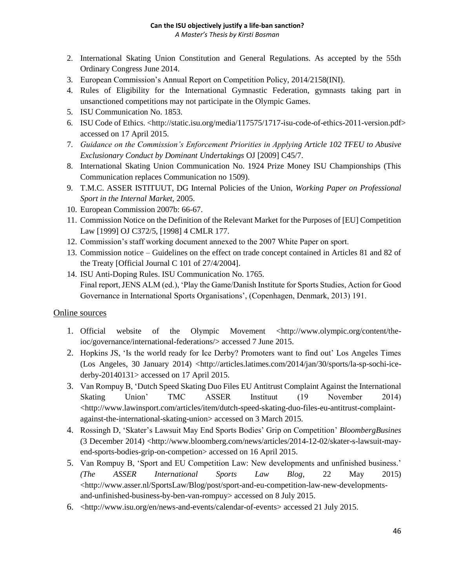### **Can the ISU objectively justify a life-ban sanction?**

*A Master's Thesis by Kirsti Bosman*

- 2. International Skating Union Constitution and General Regulations. As accepted by the 55th Ordinary Congress June 2014.
- 3. European Commission's Annual Report on Competition Policy, 2014/2158(INI).
- 4. Rules of Eligibility for the International Gymnastic Federation, gymnasts taking part in unsanctioned competitions may not participate in the Olympic Games.
- 5. ISU Communication No. 1853.
- 6. ISU Code of Ethics. [<http://static.isu.org/media/117575/1717-isu-code-of-ethics-2011-version.pdf>](http://static.isu.org/media/117575/1717-isu-code-of-ethics-2011-version.pdf) accessed on 17 April 2015.
- 7. *Guidance on the Commission's Enforcement Priorities in Applying Article 102 TFEU to Abusive Exclusionary Conduct by Dominant Undertakings* OJ [2009] C45/7.
- 8. International Skating Union Communication No. 1924 Prize Money ISU Championships (This Communication replaces Communication no 1509).
- 9. T.M.C. ASSER ISTITUUT, DG Internal Policies of the Union, *Working Paper on Professional Sport in the Internal Market,* 2005.
- 10. European Commission 2007b: 66-67.
- 11. Commission Notice on the Definition of the Relevant Market for the Purposes of [EU] Competition Law [1999] OJ C372/5, [1998] 4 CMLR 177.
- 12. Commission's staff working document annexed to the 2007 White Paper on sport.
- 13. Commission notice Guidelines on the effect on trade concept contained in Articles 81 and 82 of the Treaty [Official Journal C 101 of 27/4/2004].
- 14. ISU Anti-Doping Rules. ISU Communication No. 1765. Final report, JENS ALM (ed.), 'Play the Game/Danish Institute for Sports Studies, Action for Good Governance in International Sports Organisations', (Copenhagen, Denmark, 2013) 191.

### Online sources

- 1. Official website of the Olympic Movement [<http://www.olympic.org/content/the](http://www.olympic.org/content/the-ioc/governance/international-federations/)[ioc/governance/international-federations/>](http://www.olympic.org/content/the-ioc/governance/international-federations/) accessed 7 June 2015.
- 2. Hopkins JS, 'Is the world ready for Ice Derby? Promoters want to find out' Los Angeles Times (Los Angeles, 30 January 2014) [<http://articles.latimes.com/2014/jan/30/sports/la-sp-sochi-ice](http://articles.latimes.com/2014/jan/30/sports/la-sp-sochi-ice-derby-20140131)[derby-20140131>](http://articles.latimes.com/2014/jan/30/sports/la-sp-sochi-ice-derby-20140131) accessed on 17 April 2015.
- 3. Van Rompuy B, 'Dutch Speed Skating Duo Files EU Antitrust Complaint Against the International Skating Union' TMC ASSER Instituut (19 November 2014) <http://www.lawinsport.com/articles/item/dutch-speed-skating-duo-files-eu-antitrust-complaintagainst-the-international-skating-union> accessed on 3 March 2015.
- 4. Rossingh D, 'Skater's Lawsuit May End Sports Bodies' Grip on Competition' *BloombergBusines*  (3 December 2014) <http://www.bloomberg.com/news/articles/2014-12-02/skater-s-lawsuit-mayend-sports-bodies-grip-on-competion> accessed on 16 April 2015.
- 5. Van Rompuy B, 'Sport and EU Competition Law: New developments and unfinished business.' *(The ASSER International Sports Law Blog*, 22 May 2015) <http://www.asser.nl/SportsLaw/Blog/post/sport-and-eu-competition-law-new-developmentsand-unfinished-business-by-ben-van-rompuy> accessed on 8 July 2015.
- 6. <http://www.isu.org/en/news-and-events/calendar-of-events> accessed 21 July 2015.